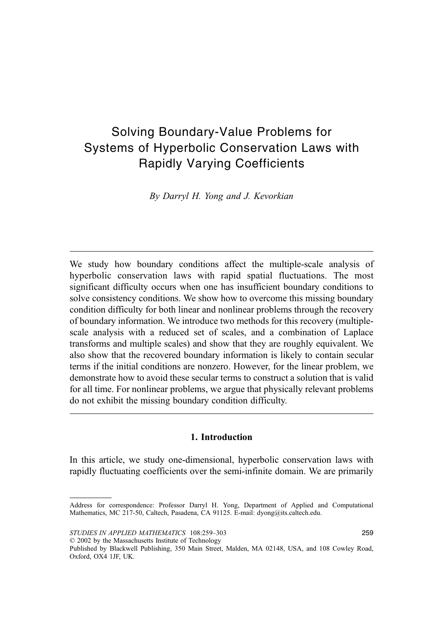# Solving Boundary-Value Problems for Systems of Hyperbolic Conservation Laws with Rapidly Varying Coefficients

By Darryl H. Yong and J. Kevorkian

We study how boundary conditions affect the multiple-scale analysis of hyperbolic conservation laws with rapid spatial fluctuations. The most significant difficulty occurs when one has insufficient boundary conditions to solve consistency conditions. We show how to overcome this missing boundary condition difficulty for both linear and nonlinear problems through the recovery of boundary information. We introduce two methods for this recovery (multiplescale analysis with a reduced set of scales, and a combination of Laplace transforms and multiple scales) and show that they are roughly equivalent. We also show that the recovered boundary information is likely to contain secular terms if the initial conditions are nonzero. However, for the linear problem, we demonstrate how to avoid these secular terms to construct a solution that is valid for all time. For nonlinear problems, we argue that physically relevant problems do not exhibit the missing boundary condition difficulty.

## 1. Introduction

In this article, we study one-dimensional, hyperbolic conservation laws with rapidly fluctuating coefficients over the semi-infinite domain. We are primarily

 $\oslash$  2002 by the Massachusetts Institute of Technology

Address for correspondence: Professor Darryl H. Yong, Department of Applied and Computational Mathematics, MC 217-50, Caltech, Pasadena, CA 91125. E-mail: dyong@its.caltech.edu.

Published by Blackwell Publishing, 350 Main Street, Malden, MA 02148, USA, and 108 Cowley Road, Oxford, OX4 1JF, UK.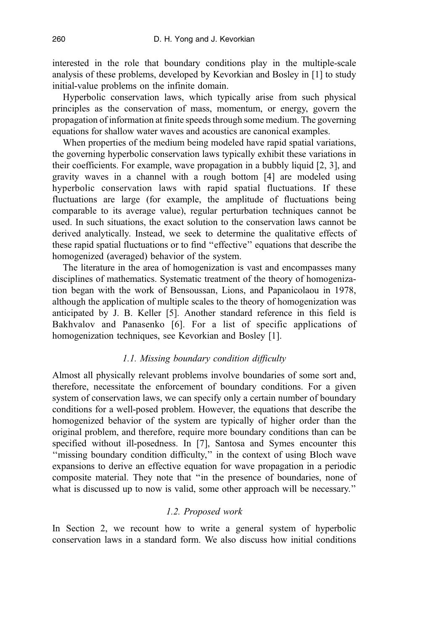interested in the role that boundary conditions play in the multiple-scale analysis of these problems, developed by Kevorkian and Bosley in [1] to study initial-value problems on the infinite domain.

Hyperbolic conservation laws, which typically arise from such physical principles as the conservation of mass, momentum, or energy, govern the propagation of information at finite speeds through some medium. The governing equations for shallow water waves and acoustics are canonical examples.

When properties of the medium being modeled have rapid spatial variations, the governing hyperbolic conservation laws typically exhibit these variations in their coefficients. For example, wave propagation in a bubbly liquid [2, 3], and gravity waves in a channel with a rough bottom [4] are modeled using hyperbolic conservation laws with rapid spatial fluctuations. If these fluctuations are large (for example, the amplitude of fluctuations being comparable to its average value), regular perturbation techniques cannot be used. In such situations, the exact solution to the conservation laws cannot be derived analytically. Instead, we seek to determine the qualitative effects of these rapid spatial fluctuations or to find ''effective'' equations that describe the homogenized (averaged) behavior of the system.

The literature in the area of homogenization is vast and encompasses many disciplines of mathematics. Systematic treatment of the theory of homogenization began with the work of Bensoussan, Lions, and Papanicolaou in 1978, although the application of multiple scales to the theory of homogenization was anticipated by J. B. Keller [5]. Another standard reference in this field is Bakhvalov and Panasenko [6]. For a list of specific applications of homogenization techniques, see Kevorkian and Bosley [1].

# 1.1. Missing boundary condition difficulty

Almost all physically relevant problems involve boundaries of some sort and, therefore, necessitate the enforcement of boundary conditions. For a given system of conservation laws, we can specify only a certain number of boundary conditions for a well-posed problem. However, the equations that describe the homogenized behavior of the system are typically of higher order than the original problem, and therefore, require more boundary conditions than can be specified without ill-posedness. In [7], Santosa and Symes encounter this "missing boundary condition difficulty," in the context of using Bloch wave expansions to derive an effective equation for wave propagation in a periodic composite material. They note that ''in the presence of boundaries, none of what is discussed up to now is valid, some other approach will be necessary."

# 1.2. Proposed work

In Section 2, we recount how to write a general system of hyperbolic conservation laws in a standard form. We also discuss how initial conditions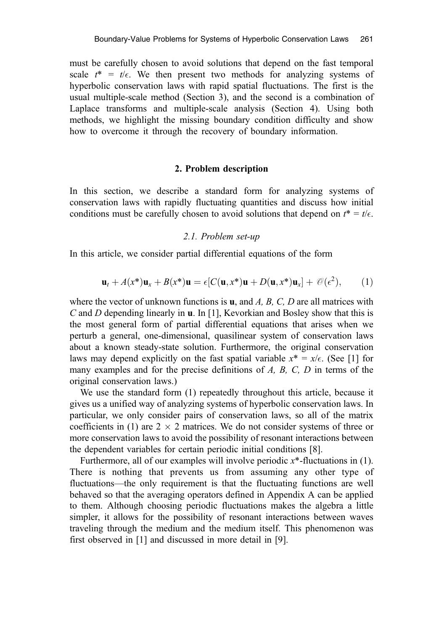must be carefully chosen to avoid solutions that depend on the fast temporal scale  $t^* = t/\epsilon$ . We then present two methods for analyzing systems of hyperbolic conservation laws with rapid spatial fluctuations. The first is the usual multiple-scale method (Section 3), and the second is a combination of Laplace transforms and multiple-scale analysis (Section 4). Using both methods, we highlight the missing boundary condition difficulty and show how to overcome it through the recovery of boundary information.

#### 2. Problem description

In this section, we describe a standard form for analyzing systems of conservation laws with rapidly fluctuating quantities and discuss how initial conditions must be carefully chosen to avoid solutions that depend on  $t^* = t/\epsilon$ .

#### 2.1. Problem set-up

In this article, we consider partial differential equations of the form

$$
\mathbf{u}_t + A(x^*)\mathbf{u}_x + B(x^*)\mathbf{u} = \epsilon [C(\mathbf{u}, x^*)\mathbf{u} + D(\mathbf{u}, x^*)\mathbf{u}_x] + \mathcal{O}(\epsilon^2), \qquad (1)
$$

where the vector of unknown functions is **, and A, B, C, D are all matrices with** C and D depending linearly in u. In [1], Kevorkian and Bosley show that this is the most general form of partial differential equations that arises when we perturb a general, one-dimensional, quasilinear system of conservation laws about a known steady-state solution. Furthermore, the original conservation laws may depend explicitly on the fast spatial variable  $x^* = x/\epsilon$ . (See [1] for many examples and for the precise definitions of A, B, C, D in terms of the original conservation laws.)

We use the standard form (1) repeatedly throughout this article, because it gives us a unified way of analyzing systems of hyperbolic conservation laws. In particular, we only consider pairs of conservation laws, so all of the matrix coefficients in (1) are  $2 \times 2$  matrices. We do not consider systems of three or more conservation laws to avoid the possibility of resonant interactions between the dependent variables for certain periodic initial conditions [8].

Furthermore, all of our examples will involve periodic  $x^*$ -fluctuations in (1). There is nothing that prevents us from assuming any other type of fluctuations—the only requirement is that the fluctuating functions are well behaved so that the averaging operators defined in Appendix A can be applied to them. Although choosing periodic fluctuations makes the algebra a little simpler, it allows for the possibility of resonant interactions between waves traveling through the medium and the medium itself. This phenomenon was first observed in [1] and discussed in more detail in [9].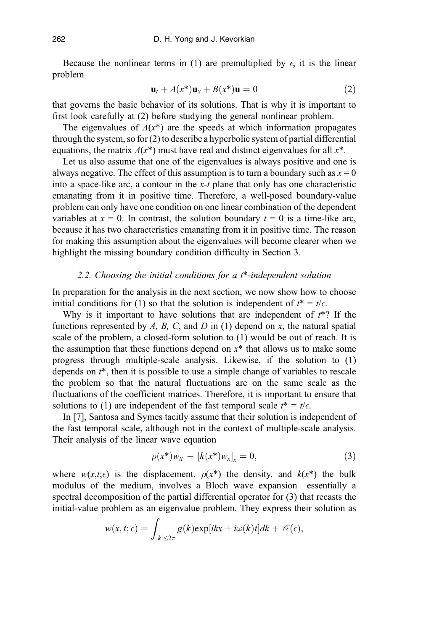Because the nonlinear terms in (1) are premultiplied by  $\epsilon$ , it is the linear problem

$$
\mathbf{u}_t + A(x^*)\mathbf{u}_x + B(x^*)\mathbf{u} = 0 \tag{2}
$$

that governs the basic behavior of its solutions. That is why it is important to first look carefully at (2) before studying the general nonlinear problem.

The eigenvalues of  $A(x^*)$  are the speeds at which information propagates through the system, so for (2) to describe a hyperbolic system of partial differential equations, the matrix  $A(x^*)$  must have real and distinct eigenvalues for all  $x^*$ .

Let us also assume that one of the eigenvalues is always positive and one is always negative. The effect of this assumption is to turn a boundary such as  $x = 0$ into a space-like arc, a contour in the  $x$ -t plane that only has one characteristic emanating from it in positive time. Therefore, a well-posed boundary-value problem can only have one condition on one linear combination of the dependent variables at  $x = 0$ . In contrast, the solution boundary  $t = 0$  is a time-like arc, because it has two characteristics emanating from it in positive time. The reason for making this assumption about the eigenvalues will become clearer when we highlight the missing boundary condition difficulty in Section 3.

## 2.2. Choosing the initial conditions for a  $t^*$ -independent solution

In preparation for the analysis in the next section, we now show how to choose initial conditions for (1) so that the solution is independent of  $t^* = t/\epsilon$ .

Why is it important to have solutions that are independent of  $t^*$ ? If the functions represented by  $A$ ,  $B$ ,  $C$ , and  $D$  in (1) depend on  $x$ , the natural spatial scale of the problem, a closed-form solution to (1) would be out of reach. It is the assumption that these functions depend on  $x^*$  that allows us to make some progress through multiple-scale analysis. Likewise, if the solution to (1) depends on  $t^*$ , then it is possible to use a simple change of variables to rescale the problem so that the natural fluctuations are on the same scale as the fluctuations of the coefficient matrices. Therefore, it is important to ensure that solutions to (1) are independent of the fast temporal scale  $t^* = t/\epsilon$ .

In [7], Santosa and Symes tacitly assume that their solution is independent of the fast temporal scale, although not in the context of multiple-scale analysis. Their analysis of the linear wave equation

$$
\rho(x^*)w_{tt} - [k(x^*)w_x]_x = 0, \tag{3}
$$

where  $w(x,t;\epsilon)$  is the displacement,  $\rho(x^*)$  the density, and  $k(x^*)$  the bulk modulus of the medium, involves a Bloch wave expansion—essentially a spectral decomposition of the partial differential operator for (3) that recasts the initial-value problem as an eigenvalue problem. They express their solution as

$$
w(x,t;\epsilon) = \int_{|k| \le 2\pi} g(k) \exp[i k x \pm i \omega(k) t] dk + \mathcal{O}(\epsilon),
$$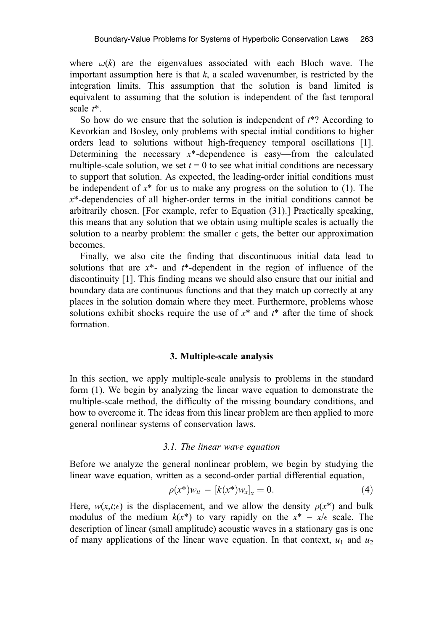where  $\omega(k)$  are the eigenvalues associated with each Bloch wave. The important assumption here is that  $k$ , a scaled wavenumber, is restricted by the integration limits. This assumption that the solution is band limited is equivalent to assuming that the solution is independent of the fast temporal scale  $t^*$ .

So how do we ensure that the solution is independent of  $t^*$ ? According to Kevorkian and Bosley, only problems with special initial conditions to higher orders lead to solutions without high-frequency temporal oscillations [1]. Determining the necessary  $x^*$ -dependence is easy—from the calculated multiple-scale solution, we set  $t = 0$  to see what initial conditions are necessary to support that solution. As expected, the leading-order initial conditions must be independent of  $x^*$  for us to make any progress on the solution to (1). The  $x^*$ -dependencies of all higher-order terms in the initial conditions cannot be arbitrarily chosen. [For example, refer to Equation (31).] Practically speaking, this means that any solution that we obtain using multiple scales is actually the solution to a nearby problem: the smaller  $\epsilon$  gets, the better our approximation becomes.

Finally, we also cite the finding that discontinuous initial data lead to solutions that are  $x^*$ - and  $t^*$ -dependent in the region of influence of the discontinuity [1]. This finding means we should also ensure that our initial and boundary data are continuous functions and that they match up correctly at any places in the solution domain where they meet. Furthermore, problems whose solutions exhibit shocks require the use of  $x^*$  and  $t^*$  after the time of shock formation.

#### 3. Multiple-scale analysis

In this section, we apply multiple-scale analysis to problems in the standard form (1). We begin by analyzing the linear wave equation to demonstrate the multiple-scale method, the difficulty of the missing boundary conditions, and how to overcome it. The ideas from this linear problem are then applied to more general nonlinear systems of conservation laws.

#### 3.1. The linear wave equation

Before we analyze the general nonlinear problem, we begin by studying the linear wave equation, written as a second-order partial differential equation,

$$
\rho(x^*)w_{tt} - [k(x^*)w_x]_x = 0.
$$
\n(4)

Here,  $w(x,t;\epsilon)$  is the displacement, and we allow the density  $\rho(x^*)$  and bulk modulus of the medium  $k(x^*)$  to vary rapidly on the  $x^* = x/\epsilon$  scale. The description of linear (small amplitude) acoustic waves in a stationary gas is one of many applications of the linear wave equation. In that context,  $u_1$  and  $u_2$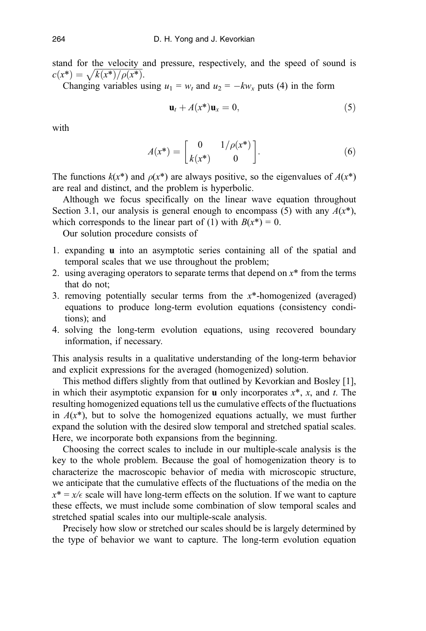stand for the velocity and pressure, respectively, and the speed of sound is stand for the velocity  $c(x^*) = \sqrt{k(x^*)/\rho(x^*)}$ .

Changing variables using  $u_1 = w_t$  and  $u_2 = -kw_x$  puts (4) in the form

$$
\mathbf{u}_t + A(x^*)\mathbf{u}_x = 0,\tag{5}
$$

with

$$
A(x^*) = \begin{bmatrix} 0 & 1/\rho(x^*) \\ k(x^*) & 0 \end{bmatrix}.
$$
 (6)

The functions  $k(x^*)$  and  $\rho(x^*)$  are always positive, so the eigenvalues of  $A(x^*)$ are real and distinct, and the problem is hyperbolic.

Although we focus specifically on the linear wave equation throughout Section 3.1, our analysis is general enough to encompass (5) with any  $A(x^*)$ , which corresponds to the linear part of (1) with  $B(x^*) = 0$ .

Our solution procedure consists of

- 1. expanding u into an asymptotic series containing all of the spatial and temporal scales that we use throughout the problem;
- 2. using averaging operators to separate terms that depend on  $x^*$  from the terms that do not;
- 3. removing potentially secular terms from the  $x^*$ -homogenized (averaged) equations to produce long-term evolution equations (consistency conditions); and
- 4. solving the long-term evolution equations, using recovered boundary information, if necessary.

This analysis results in a qualitative understanding of the long-term behavior and explicit expressions for the averaged (homogenized) solution.

This method differs slightly from that outlined by Kevorkian and Bosley [1], in which their asymptotic expansion for **u** only incorporates  $x^*$ , x, and t. The resulting homogenized equations tell us the cumulative effects of the fluctuations in  $A(x^*)$ , but to solve the homogenized equations actually, we must further expand the solution with the desired slow temporal and stretched spatial scales. Here, we incorporate both expansions from the beginning.

Choosing the correct scales to include in our multiple-scale analysis is the key to the whole problem. Because the goal of homogenization theory is to characterize the macroscopic behavior of media with microscopic structure, we anticipate that the cumulative effects of the fluctuations of the media on the  $x^* = x/\epsilon$  scale will have long-term effects on the solution. If we want to capture these effects, we must include some combination of slow temporal scales and stretched spatial scales into our multiple-scale analysis.

Precisely how slow or stretched our scales should be is largely determined by the type of behavior we want to capture. The long-term evolution equation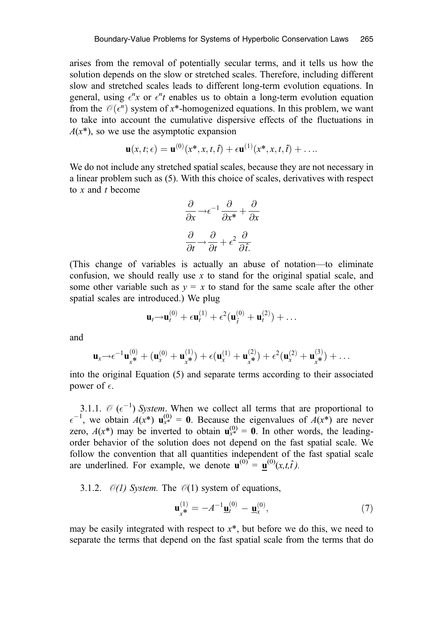arises from the removal of potentially secular terms, and it tells us how the solution depends on the slow or stretched scales. Therefore, including different slow and stretched scales leads to different long-term evolution equations. In general, using  $\epsilon^n x$  or  $\epsilon^n t$  enables us to obtain a long-term evolution equation from the  $\mathcal{O}(\epsilon^n)$  system of x\*-homogenized equations. In this problem, we want to take into account the cumulative dispersive effects of the fluctuations in  $A(x^*)$ , so we use the asymptotic expansion

$$
\mathbf{u}(x,t;\epsilon) = \mathbf{u}^{(0)}(x^*,x,t,\hat{t}) + \epsilon \mathbf{u}^{(1)}(x^*,x,t,\hat{t}) + \ldots
$$

We do not include any stretched spatial scales, because they are not necessary in a linear problem such as (5). With this choice of scales, derivatives with respect to x and t become

$$
\frac{\partial}{\partial x} \rightarrow \epsilon^{-1} \frac{\partial}{\partial x^*} + \frac{\partial}{\partial x}
$$

$$
\frac{\partial}{\partial t} \rightarrow \frac{\partial}{\partial t} + \epsilon^2 \frac{\partial}{\partial \hat{t}}.
$$

(This change of variables is actually an abuse of notation—to eliminate confusion, we should really use  $x$  to stand for the original spatial scale, and some other variable such as  $y = x$  to stand for the same scale after the other spatial scales are introduced.) We plug

$$
\mathbf{u}_t \rightarrow \mathbf{u}_t^{(0)} + \epsilon \mathbf{u}_t^{(1)} + \epsilon^2 (\mathbf{u}_{\hat{t}}^{(0)} + \mathbf{u}_t^{(2)}) + \dots
$$

and

$$
\mathbf{u}_x \rightarrow \epsilon^{-1} \mathbf{u}_x^{(0)} + (\mathbf{u}_x^{(0)} + \mathbf{u}_x^{(1)}) + \epsilon (\mathbf{u}_x^{(1)} + \mathbf{u}_x^{(2)}) + \epsilon^2 (\mathbf{u}_x^{(2)} + \mathbf{u}_x^{(3)}) + \ldots
$$

into the original Equation (5) and separate terms according to their associated power of  $\epsilon$ .

3.1.1.  $\mathcal{O}(\epsilon^{-1})$  System. When we collect all terms that are proportional to  $\epsilon^{-1}$ , we obtain  $A(x^*)$   $\mathbf{u}_{x^*}^{(0)} = \mathbf{0}$ . Because the eigenvalues of  $A(x^*)$  are never zero,  $A(x^*)$  may be inverted to obtain  $\mathbf{u}_{x^*}^{(0)} = \mathbf{0}$ . In other words, the leadingorder behavior of the solution does not depend on the fast spatial scale. We follow the convention that all quantities independent of the fast spatial scale are underlined. For example, we denote  $\mathbf{u}^{(0)} = \mathbf{u}^{(0)}(x,t,\hat{t})$ .

3.1.2.  $\mathcal{O}(1)$  System. The  $\mathcal{O}(1)$  system of equations,

$$
\mathbf{u}_{x^*}^{(1)} = -A^{-1}\mathbf{\underline{u}}_t^{(0)} - \mathbf{\underline{u}}_x^{(0)},\tag{7}
$$

may be easily integrated with respect to  $x^*$ , but before we do this, we need to separate the terms that depend on the fast spatial scale from the terms that do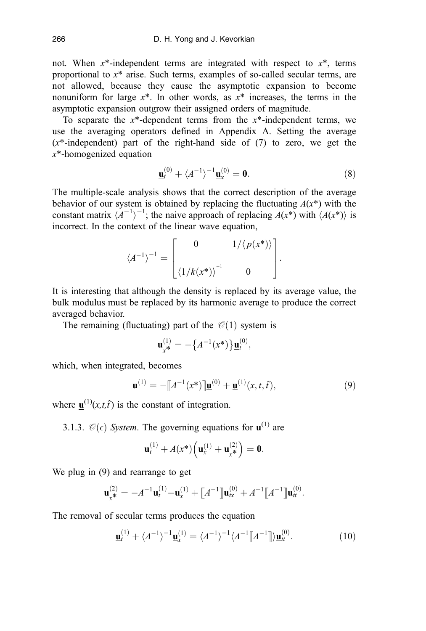not. When  $x^*$ -independent terms are integrated with respect to  $x^*$ , terms proportional to  $x^*$  arise. Such terms, examples of so-called secular terms, are not allowed, because they cause the asymptotic expansion to become nonuniform for large  $x^*$ . In other words, as  $x^*$  increases, the terms in the asymptotic expansion outgrow their assigned orders of magnitude.

To separate the  $x^*$ -dependent terms from the  $x^*$ -independent terms, we use the averaging operators defined in Appendix A. Setting the average  $(x^*$ -independent) part of the right-hand side of  $(7)$  to zero, we get the x\*-homogenized equation

$$
\underline{\mathbf{u}}_t^{(0)} + \langle A^{-1} \rangle^{-1} \underline{\mathbf{u}}_x^{(0)} = \mathbf{0}.
$$
 (8)

The multiple-scale analysis shows that the correct description of the average behavior of our system is obtained by replacing the fluctuating  $A(x^*)$  with the constant matrix  $\langle A^{-1} \rangle^{-1}$ ; the naive approach of replacing  $A(x^*)$  with  $\langle A(x^*) \rangle$  is incorrect. In the context of the linear wave equation,

$$
\langle A^{-1} \rangle^{-1} = \begin{bmatrix} 0 & 1/\langle p(x^*) \rangle \\ \langle 1/k(x^*) \rangle^{-1} & 0 \end{bmatrix}.
$$

It is interesting that although the density is replaced by its average value, the bulk modulus must be replaced by its harmonic average to produce the correct averaged behavior.

The remaining (fluctuating) part of the  $\mathcal{O}(1)$  system is

$$
\mathbf{u}_{x^*}^{(1)} = -\big\{A^{-1}(x^*)\big\}\mathbf{u}_t^{(0)},
$$

which, when integrated, becomes

$$
\mathbf{u}^{(1)} = -[A^{-1}(x^*)]\mathbf{u}^{(0)} + \mathbf{u}^{(1)}(x, t, \hat{t}), \tag{9}
$$

where  $\mathbf{u}^{(1)}(x,t,\hat{t})$  is the constant of integration. ˆ

3.1.3.  $\mathcal{O}(\epsilon)$  System. The governing equations for  $\mathbf{u}^{(1)}$  are

$$
\mathbf{u}_t^{(1)} + A(x^*) \Big( \mathbf{u}_x^{(1)} + \mathbf{u}_x^{(2)} \Big) = \mathbf{0}.
$$

We plug in (9) and rearrange to get

$$
\mathbf{u}_{x^*}^{(2)} = -A^{-1}\mathbf{\underline{u}}_t^{(1)} - \mathbf{\underline{u}}_x^{(1)} + [A^{-1}]\mathbf{\underline{u}}_x^{(0)} + A^{-1}[A^{-1}]\mathbf{\underline{u}}_t^{(0)}.
$$

The removal of secular terms produces the equation

$$
\underline{\mathbf{u}}_t^{(1)} + \langle A^{-1} \rangle^{-1} \underline{\mathbf{u}}_x^{(1)} = \langle A^{-1} \rangle^{-1} \langle A^{-1} [\![ A^{-1} ]\!] \rangle \underline{\mathbf{u}}_t^{(0)}.
$$
 (10)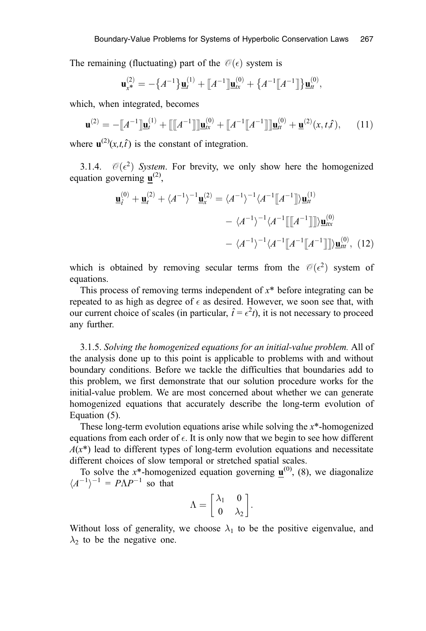The remaining (fluctuating) part of the  $\mathcal{O}(\epsilon)$  system is

$$
\mathbf{u}_{x^*}^{(2)} = -\big\{A^{-1}\big\}\underline{\mathbf{u}}_t^{(1)} + \big[A^{-1}\big]\underline{\mathbf{u}}_{tx}^{(0)} + \big\{A^{-1}\big[A^{-1}\big]\big\}\underline{\mathbf{u}}_t^{(0)},
$$

which, when integrated, becomes

$$
\mathbf{u}^{(2)} = -\llbracket A^{-1} \rrbracket \mathbf{u}^{(1)}_t + \llbracket \llbracket A^{-1} \rrbracket \rrbracket \mathbf{u}^{(0)}_{tx} + \llbracket A^{-1} \rrbracket A^{-1} \rrbracket \mathbf{u}^{(0)}_{tt} + \mathbf{u}^{(2)}(x, t, \hat{t}), \qquad (11)
$$

where  $\mathbf{u}^{(2)}(x,t,\hat{t})$  is the constant of integration. ˆ

3.1.4.  $\mathcal{O}(\epsilon^2)$  System. For brevity, we only show here the homogenized equation governing  $\mathbf{u}^{(2)}$ ,

$$
\underline{\mathbf{u}}_f^{(0)} + \underline{\mathbf{u}}_t^{(2)} + \langle A^{-1} \rangle^{-1} \underline{\mathbf{u}}_x^{(2)} = \langle A^{-1} \rangle^{-1} \langle A^{-1} [\![ A^{-1} ]\!] \rangle \underline{\mathbf{u}}_t^{(1)}
$$

$$
- \langle A^{-1} \rangle^{-1} \langle A^{-1} [\![ [A^{-1} ]\!] \!] \rangle \underline{\mathbf{u}}_{tx}^{(0)}
$$

$$
- \langle A^{-1} \rangle^{-1} \langle A^{-1} [\![ A^{-1} ]\!] \rangle \underline{\mathbf{u}}_{tt}^{(0)}, \quad (12)
$$

which is obtained by removing secular terms from the  $\mathcal{O}(\epsilon^2)$  system of equations.

This process of removing terms independent of  $x^*$  before integrating can be repeated to as high as degree of  $\epsilon$  as desired. However, we soon see that, with our current choice of scales (in particular,  $\hat{t} = \epsilon^2 t$ ), it is not necessary to proceed any further.

3.1.5. Solving the homogenized equations for an initial-value problem. All of the analysis done up to this point is applicable to problems with and without boundary conditions. Before we tackle the difficulties that boundaries add to this problem, we first demonstrate that our solution procedure works for the initial-value problem. We are most concerned about whether we can generate homogenized equations that accurately describe the long-term evolution of Equation (5).

These long-term evolution equations arise while solving the  $x^*$ -homogenized equations from each order of  $\epsilon$ . It is only now that we begin to see how different  $A(x^*)$  lead to different types of long-term evolution equations and necessitate different choices of slow temporal or stretched spatial scales.

To solve the  $x^*$ -homogenized equation governing  $\mathbf{u}^{(0)}$ , (8), we diagonalize  $\langle A^{-1} \rangle^{-1} = P \Lambda P^{-1}$  so that

$$
\Lambda = \begin{bmatrix} \lambda_1 & 0 \\ 0 & \lambda_2 \end{bmatrix}.
$$

Without loss of generality, we choose  $\lambda_1$  to be the positive eigenvalue, and  $\lambda_2$  to be the negative one.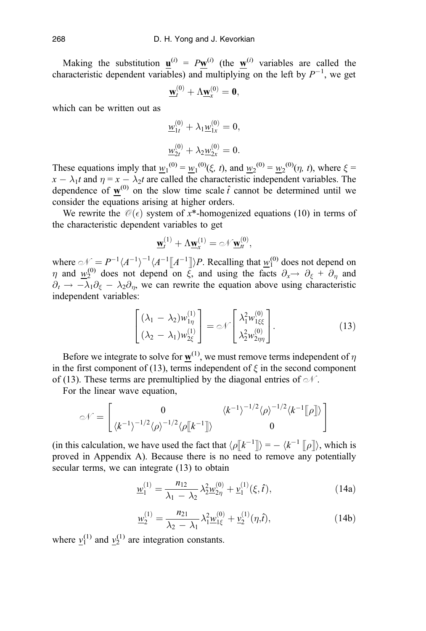Making the substitution  $\mathbf{u}^{(i)} = P\mathbf{w}^{(i)}$  (the  $\mathbf{w}^{(i)}$  variables are called the characteristic dependent variables) and multiplying on the left by  $P^{-1}$ , we get

$$
\underline{\mathbf{w}}_t^{(0)} + \Lambda \underline{\mathbf{w}}_x^{(0)} = \mathbf{0},
$$

which can be written out as

$$
\underline{w}_{1t}^{(0)} + \lambda_1 \underline{w}_{1x}^{(0)} = 0,
$$
  

$$
\underline{w}_{2t}^{(0)} + \lambda_2 \underline{w}_{2x}^{(0)} = 0.
$$

These equations imply that  $w_1^{(0)} = w_1^{(0)}(\xi, t)$ , and  $w_2^{(0)} = w_2^{(0)}(\eta, t)$ , where  $\xi =$  $x - \lambda_1 t$  and  $\eta = x - \lambda_2 t$  are called the characteristic independent variables. The dependence of  $\mathbf{w}^{(0)}$  on the slow time scale  $\hat{t}$  cannot be determined until we consider the equations arising at higher orders.

We rewrite the  $\mathcal{O}(\epsilon)$  system of x\*-homogenized equations (10) in terms of the characteristic dependent variables to get

$$
\underline{\mathbf{w}}_t^{(1)} + \Lambda \underline{\mathbf{w}}_x^{(1)} = \text{div} \underline{\mathbf{w}}_t^{(0)},
$$

where  $\mathcal{N} = P^{-1} \langle A^{-1} \rangle^{-1} \langle A^{-1} [A^{-1}]\rangle P$ . Recalling that  $w_1^{(0)}$  does not depend on  $\eta$  and  $w_2^{(0)}$  does not depend on  $\vec{\xi}$ , and using the facts  $\partial_x \rightarrow \partial_{\xi} + \partial_{\eta}$  and  $\partial_t \to -\lambda_1 \partial_{\xi} - \lambda_2 \partial_{\eta}$ , we can rewrite the equation above using characteristic independent variables:

$$
\begin{bmatrix}\n(\lambda_1 - \lambda_2) w_{1\eta}^{(1)} \\
(\lambda_2 - \lambda_1) w_{2\xi}^{(1)}\n\end{bmatrix} = \varnothing \sqrt{\begin{bmatrix}\n\lambda_1^2 w_{1\xi\xi}^{(0)} \\
\lambda_2^2 w_{2\eta\eta}^{(0)}\n\end{bmatrix}}.
$$
\n(13)

Before we integrate to solve for  $w^{(1)}$ , we must remove terms independent of  $\eta$ in the first component of (13), terms independent of  $\xi$  in the second component of (13). These terms are premultiplied by the diagonal entries of  $\mathcal{N}$ .

For the linear wave equation,

$$
\mathcal{N} = \begin{bmatrix} 0 & \langle k^{-1} \rangle^{-1/2} \langle \rho \rangle^{-1/2} \langle k^{-1} \mathbb{I} | \rho \mathbb{I} \rangle \\ \langle k^{-1} \rangle^{-1/2} \langle \rho \mathbb{I} | k^{-1} \mathbb{I} \rangle & 0 \end{bmatrix}
$$

(in this calculation, we have used the fact that  $\langle \rho | k^{-1} | \rangle = - \langle k^{-1} | \rho | \rangle$ , which is proved in Appendix A). Because there is no need to remove any potentially secular terms, we can integrate (13) to obtain

$$
\underline{w}_1^{(1)} = \frac{n_{12}}{\lambda_1 - \lambda_2} \lambda_2^2 \underline{w}_{2\eta}^{(0)} + \underline{v}_1^{(1)}(\xi, \hat{t}), \qquad (14a)
$$

$$
\underline{w}_2^{(1)} = \frac{n_{21}}{\lambda_2 - \lambda_1} \lambda_1^2 \underline{w}_{1\xi}^{(0)} + \underline{v}_2^{(1)}(\eta, \hat{t}), \qquad (14b)
$$

where  $y_1^{(1)}$  and  $y_2^{(1)}$  are integration constants.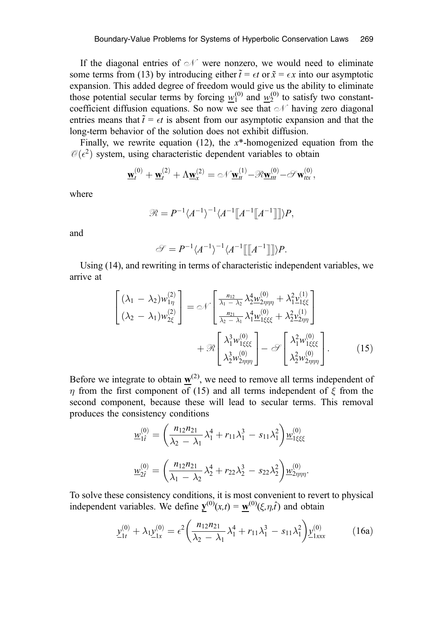If the diagonal entries of  $\mathcal N$  were nonzero, we would need to eliminate some terms from (13) by introducing either  $\tilde{t} = \epsilon t$  or  $\tilde{x} = \epsilon x$  into our asymptotic expansion. This added degree of freedom would give us the ability to eliminate those potential secular terms by forcing  $w_1^{(0)}$  and  $w_2^{(0)}$  to satisfy two constantcoefficient diffusion equations. So now we see that  $\mathcal N$  having zero diagonal entries means that  $\tilde{t} = \epsilon t$  is absent from our asymptotic expansion and that the long-term behavior of the solution does not exhibit diffusion.

Finally, we rewrite equation (12), the  $x^*$ -homogenized equation from the  $\mathcal{O}(\epsilon^2)$  system, using characteristic dependent variables to obtain

$$
\underline{\mathbf{w}}_t^{(0)} + \underline{\mathbf{w}}_t^{(2)} + \Lambda \underline{\mathbf{w}}_x^{(2)} = \mathcal{N} \underline{\mathbf{w}}_t^{(1)} - \mathcal{R} \underline{\mathbf{w}}_{tt}^{(0)} - \mathcal{S} \mathbf{w}_{tt}^{(0)},
$$

where

$$
\mathcal{R} = P^{-1} \langle A^{-1} \rangle^{-1} \langle A^{-1} \llbracket A^{-1} \llbracket A^{-1} \rrbracket \rrbracket \rangle P,
$$

and

$$
\mathscr{S} = P^{-1} \langle A^{-1} \rangle^{-1} \langle A^{-1} \llbracket A^{-1} \rrbracket \rangle P.
$$

Using (14), and rewriting in terms of characteristic independent variables, we arrive at

$$
\begin{bmatrix}\n(\lambda_1 - \lambda_2) w_{1\eta}^{(2)} \\
(\lambda_2 - \lambda_1) w_{2\xi}^{(2)}\n\end{bmatrix} = \mathcal{N} \begin{bmatrix}\n\frac{n_{12}}{\lambda_1 - \lambda_2} \lambda_2^4 w_{2\eta\eta\eta}^{(0)} + \lambda_1^2 \mathbf{v}_{1\xi\xi}^{(1)} \\
\frac{n_{21}}{\lambda_2 - \lambda_1} \lambda_1^4 w_{1\xi\xi\xi}^{(0)} + \mathcal{R} \begin{bmatrix}\n\lambda_1^3 w_{1\xi\xi\xi}^{(0)} \\
\lambda_2^3 w_{2\eta\eta\eta}^{(0)}\n\end{bmatrix} - \mathcal{S} \begin{bmatrix}\n\lambda_1^2 w_{1\xi\xi\xi}^{(0)} \\
\lambda_2^2 w_{2\eta\eta\eta}^{(0)}\n\end{bmatrix} .\n\tag{15}
$$

Before we integrate to obtain  $w^{(2)}$ , we need to remove all terms independent of  $\eta$  from the first component of (15) and all terms independent of  $\xi$  from the second component, because these will lead to secular terms. This removal produces the consistency conditions

$$
\underline{w}_{1\hat{i}}^{(0)} = \left(\frac{n_{12}n_{21}}{\lambda_2 - \lambda_1}\lambda_1^4 + r_{11}\lambda_1^3 - s_{11}\lambda_1^2\right)\underline{w}_{1\xi\xi\xi}^{(0)}
$$

$$
\underline{w}_{2\hat{i}}^{(0)} = \left(\frac{n_{12}n_{21}}{\lambda_1 - \lambda_2}\lambda_2^4 + r_{22}\lambda_2^3 - s_{22}\lambda_2^2\right)\underline{w}_{2\eta\eta\eta}^{(0)}.
$$

To solve these consistency conditions, it is most convenient to revert to physical independent variables. We define  $\underline{y}^{(0)}(x,t) = \underline{w}^{(0)}(\xi, \eta, \hat{t})$  and obtain

$$
\underline{y}_{1t}^{(0)} + \lambda_1 \underline{y}_{1x}^{(0)} = \epsilon^2 \left( \frac{n_{12} n_{21}}{\lambda_2 - \lambda_1} \lambda_1^4 + r_{11} \lambda_1^3 - s_{11} \lambda_1^2 \right) \underline{y}_{1xxx}^{(0)} \tag{16a}
$$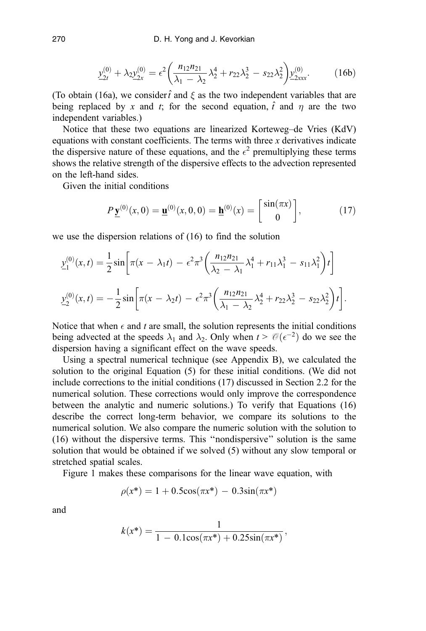$$
\underline{y}_{2t}^{(0)} + \lambda_2 \underline{y}_{2x}^{(0)} = \epsilon^2 \left( \frac{n_{12} n_{21}}{\lambda_1 - \lambda_2} \lambda_2^4 + r_{22} \lambda_2^3 - s_{22} \lambda_2^2 \right) \underline{y}_{2xxx}^{(0)}.
$$
 (16b)

(To obtain (16a), we consider  $\hat{t}$  and  $\xi$  as the two independent variables that are being replaced by x and t; for the second equation,  $\hat{t}$  and  $\eta$  are the two independent variables.)

Notice that these two equations are linearized Korteweg–de Vries (KdV) equations with constant coefficients. The terms with three  $x$  derivatives indicate the dispersive nature of these equations, and the  $\epsilon^2$  premultiplying these terms shows the relative strength of the dispersive effects to the advection represented on the left-hand sides.

Given the initial conditions

$$
P\underline{\mathbf{y}}^{(0)}(x,0) = \underline{\mathbf{u}}^{(0)}(x,0,0) = \underline{\mathbf{h}}^{(0)}(x) = \begin{bmatrix} \sin(\pi x) \\ 0 \end{bmatrix},\tag{17}
$$

we use the dispersion relations of (16) to find the solution

$$
\underline{y}_1^{(0)}(x,t) = \frac{1}{2}\sin\left[\pi(x-\lambda_1t) - \epsilon^2\pi^3\left(\frac{n_{12}n_{21}}{\lambda_2-\lambda_1}\lambda_1^4 + r_{11}\lambda_1^3 - s_{11}\lambda_1^2\right)t\right]
$$

$$
\underline{y}_2^{(0)}(x,t) = -\frac{1}{2}\sin\left[\pi(x-\lambda_2t) - \epsilon^2\pi^3\left(\frac{n_{12}n_{21}}{\lambda_1-\lambda_2}\lambda_2^4 + r_{22}\lambda_2^3 - s_{22}\lambda_2^2\right)t\right].
$$

Notice that when  $\epsilon$  and t are small, the solution represents the initial conditions being advected at the speeds  $\lambda_1$  and  $\lambda_2$ . Only when  $t > \mathcal{O}(\epsilon^{-2})$  do we see the dispersion having a significant effect on the wave speeds.

Using a spectral numerical technique (see Appendix B), we calculated the solution to the original Equation (5) for these initial conditions. (We did not include corrections to the initial conditions (17) discussed in Section 2.2 for the numerical solution. These corrections would only improve the correspondence between the analytic and numeric solutions.) To verify that Equations (16) describe the correct long-term behavior, we compare its solutions to the numerical solution. We also compare the numeric solution with the solution to (16) without the dispersive terms. This ''nondispersive'' solution is the same solution that would be obtained if we solved (5) without any slow temporal or stretched spatial scales.

Figure 1 makes these comparisons for the linear wave equation, with

$$
\rho(x^*) = 1 + 0.5\cos(\pi x^*) - 0.3\sin(\pi x^*)
$$

and

$$
k(x^*) = \frac{1}{1 - 0.1\cos(\pi x^*) + 0.25\sin(\pi x^*)},
$$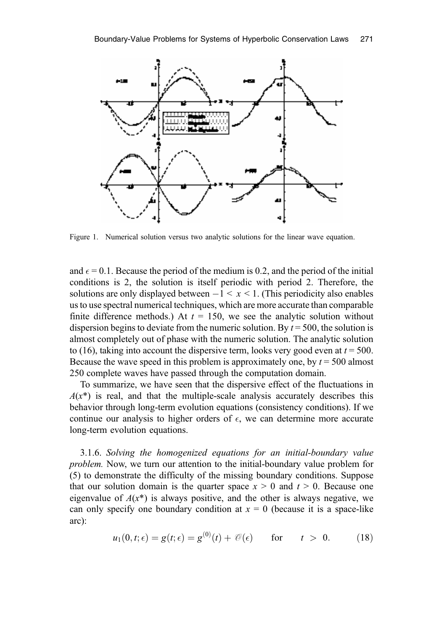

Figure 1. Numerical solution versus two analytic solutions for the linear wave equation.

and  $\epsilon$  = 0.1. Because the period of the medium is 0.2, and the period of the initial conditions is 2, the solution is itself periodic with period 2. Therefore, the solutions are only displayed between  $-1 < x < 1$ . (This periodicity also enables us to use spectral numerical techniques, which are more accurate than comparable finite difference methods.) At  $t = 150$ , we see the analytic solution without dispersion begins to deviate from the numeric solution. By  $t = 500$ , the solution is almost completely out of phase with the numeric solution. The analytic solution to (16), taking into account the dispersive term, looks very good even at  $t = 500$ . Because the wave speed in this problem is approximately one, by  $t = 500$  almost 250 complete waves have passed through the computation domain.

To summarize, we have seen that the dispersive effect of the fluctuations in  $A(x^*)$  is real, and that the multiple-scale analysis accurately describes this behavior through long-term evolution equations (consistency conditions). If we continue our analysis to higher orders of  $\epsilon$ , we can determine more accurate long-term evolution equations.

3.1.6. Solving the homogenized equations for an initial-boundary value problem. Now, we turn our attention to the initial-boundary value problem for (5) to demonstrate the difficulty of the missing boundary conditions. Suppose that our solution domain is the quarter space  $x > 0$  and  $t > 0$ . Because one eigenvalue of  $A(x^*)$  is always positive, and the other is always negative, we can only specify one boundary condition at  $x = 0$  (because it is a space-like arc):

$$
u_1(0,t;\epsilon) = g(t;\epsilon) = g^{(0)}(t) + \mathcal{O}(\epsilon) \quad \text{for} \quad t > 0. \quad (18)
$$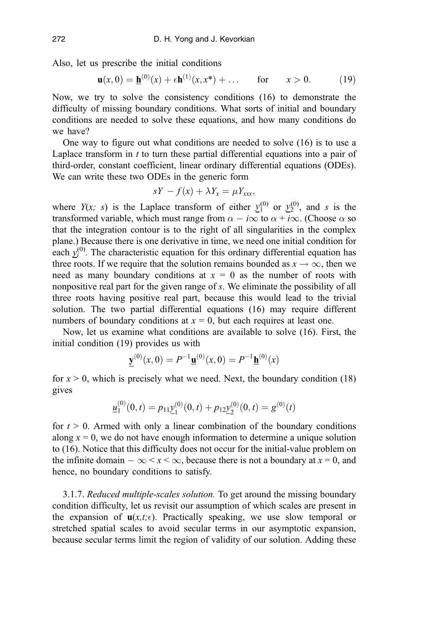Also, let us prescribe the initial conditions

$$
\mathbf{u}(x,0) = \underline{\mathbf{h}}^{(0)}(x) + \epsilon \mathbf{h}^{(1)}(x,x^*) + \dots \quad \text{for} \quad x > 0. \tag{19}
$$

Now, we try to solve the consistency conditions (16) to demonstrate the difficulty of missing boundary conditions. What sorts of initial and boundary conditions are needed to solve these equations, and how many conditions do we have?

One way to figure out what conditions are needed to solve (16) is to use a Laplace transform in  $t$  to turn these partial differential equations into a pair of third-order, constant coefficient, linear ordinary differential equations (ODEs). We can write these two ODEs in the generic form

$$
sY - f(x) + \lambda Y_x = \mu Y_{xxx},
$$

where  $Y(x; s)$  is the Laplace transform of either  $y_1^{(0)}$  or  $y_2^{(0)}$ , and s is the transformed variable, which must range from  $\alpha - i\infty$  to  $\alpha + i\infty$ . (Choose  $\alpha$  so that the integration contour is to the right of all singularities in the complex plane.) Because there is one derivative in time, we need one initial condition for each  $y_i^{(0)}$ . The characteristic equation for this ordinary differential equation has three roots. If we require that the solution remains bounded as  $x \to \infty$ , then we need as many boundary conditions at  $x = 0$  as the number of roots with nonpositive real part for the given range of s. We eliminate the possibility of all three roots having positive real part, because this would lead to the trivial solution. The two partial differential equations (16) may require different numbers of boundary conditions at  $x = 0$ , but each requires at least one.

Now, let us examine what conditions are available to solve (16). First, the initial condition (19) provides us with

$$
\underline{\mathbf{y}}^{(0)}(x,0) = P^{-1}\underline{\mathbf{u}}^{(0)}(x,0) = P^{-1}\underline{\mathbf{h}}^{(0)}(x)
$$

for  $x > 0$ , which is precisely what we need. Next, the boundary condition (18) gives

$$
\underline{u}_1^{(0)}(0,t) = p_{11}\underline{y}_1^{(0)}(0,t) + p_{12}\underline{y}_2^{(0)}(0,t) = g^{(0)}(t)
$$

for  $t > 0$ . Armed with only a linear combination of the boundary conditions along  $x = 0$ , we do not have enough information to determine a unique solution to (16). Notice that this difficulty does not occur for the initial-value problem on the infinite domain  $-\infty < x < \infty$ , because there is not a boundary at  $x = 0$ , and hence, no boundary conditions to satisfy.

3.1.7. Reduced multiple-scales solution. To get around the missing boundary condition difficulty, let us revisit our assumption of which scales are present in the expansion of  $\mathbf{u}(x,t;\epsilon)$ . Practically speaking, we use slow temporal or stretched spatial scales to avoid secular terms in our asymptotic expansion, because secular terms limit the region of validity of our solution. Adding these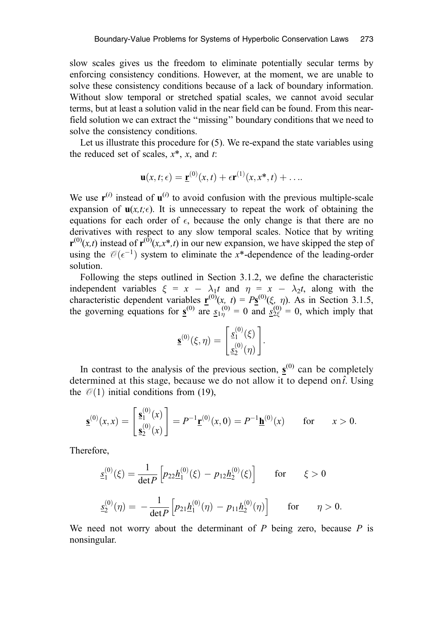slow scales gives us the freedom to eliminate potentially secular terms by enforcing consistency conditions. However, at the moment, we are unable to solve these consistency conditions because of a lack of boundary information. Without slow temporal or stretched spatial scales, we cannot avoid secular terms, but at least a solution valid in the near field can be found. From this nearfield solution we can extract the ''missing'' boundary conditions that we need to solve the consistency conditions.

Let us illustrate this procedure for (5). We re-expand the state variables using the reduced set of scales,  $x^*$ , x, and t:

$$
\mathbf{u}(x,t;\epsilon) = \mathbf{\underline{r}}^{(0)}(x,t) + \epsilon \mathbf{r}^{(1)}(x,x^*,t) + \dots
$$

We use  $\mathbf{r}^{(i)}$  instead of  $\mathbf{u}^{(i)}$  to avoid confusion with the previous multiple-scale expansion of  $u(x,t;\epsilon)$ . It is unnecessary to repeat the work of obtaining the equations for each order of  $\epsilon$ , because the only change is that there are no derivatives with respect to any slow temporal scales. Notice that by writing  $\mathbf{r}^{(0)}(x,t)$  instead of  $\mathbf{r}^{(0)}(x,x^*,t)$  in our new expansion, we have skipped the step of using the  $\mathcal{O}(\epsilon^{-1})$  system to eliminate the x\*-dependence of the leading-order solution.

Following the steps outlined in Section 3.1.2, we define the characteristic independent variables  $\xi = x - \lambda_1 t$  and  $\eta = x - \lambda_2 t$ , along with the characteristic dependent variables  $\mathbf{r}^{(0)}(x, t) = P\mathbf{s}^{(0)}(\xi, \eta)$ . As in Section 3.1.5, the governing equations for  $\underline{s}^{(0)}$  are  $\underline{s}_{1\eta}^{(0)} = 0$  and  $\underline{s}_{2\xi}^{(0)} = 0$ , which imply that

$$
\underline{\mathbf{s}}^{(0)}(\xi,\eta) = \begin{bmatrix} \underline{s}_1^{(0)}(\xi) \\ \underline{s}_2^{(0)}(\eta) \end{bmatrix}.
$$

In contrast to the analysis of the previous section,  $\underline{s}^{(0)}$  can be completely determined at this stage, because we do not allow it to depend on  $\hat{t}$ . Using the  $\mathcal{O}(1)$  initial conditions from (19),

$$
\underline{\mathbf{s}}^{(0)}(x,x) = \begin{bmatrix} \underline{\mathbf{s}}_1^{(0)}(x) \\ \underline{\mathbf{s}}_2^{(0)}(x) \end{bmatrix} = P^{-1} \underline{\mathbf{r}}^{(0)}(x,0) = P^{-1} \underline{\mathbf{h}}^{(0)}(x) \quad \text{for} \quad x > 0.
$$

Therefore,

$$
\underline{s}_1^{(0)}(\xi) = \frac{1}{\det P} \left[ p_{22} \underline{h}_1^{(0)}(\xi) - p_{12} \underline{h}_2^{(0)}(\xi) \right] \quad \text{for} \quad \xi > 0
$$
  

$$
\underline{s}_2^{(0)}(\eta) = -\frac{1}{\det P} \left[ p_{21} \underline{h}_1^{(0)}(\eta) - p_{11} \underline{h}_2^{(0)}(\eta) \right] \quad \text{for} \quad \eta > 0.
$$

We need not worry about the determinant of  $P$  being zero, because  $P$  is nonsingular.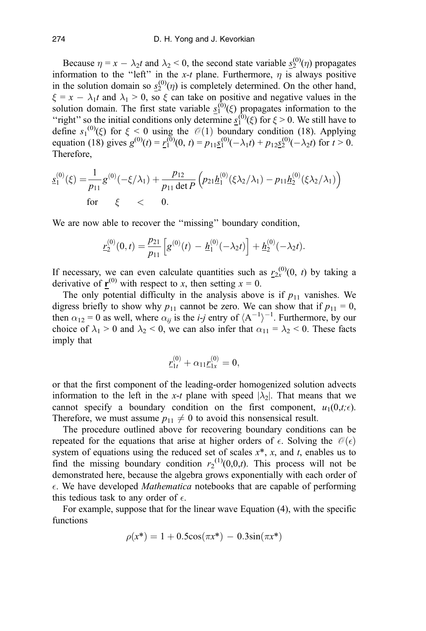Because  $\eta = x - \lambda_2 t$  and  $\lambda_2 < 0$ , the second state variable  $\underline{s}_2^{(0)}(\eta)$  propagates information to the "left" in the x-t plane. Furthermore,  $\eta$  is always positive in the solution domain so  $s_2^{(0)}(\eta)$  is completely determined. On the other hand,  $\xi = x - \lambda_1 t$  and  $\lambda_1 > 0$ , so  $\xi$  can take on positive and negative values in the solution domain. The first state variable  $s_1^{(0)}(\xi)$  propagates information to the "right" so the initial conditions only determine  $s_1^{(0)}(\xi)$  for  $\xi > 0$ . We still have to define  $s_1^{(0)}(\xi)$  for  $\xi < 0$  using the  $\mathcal{O}(1)$  boundary condition (18). Applying equation (18) gives  $g^{(0)}(t) = r_1^{(0)}(0, t) = p_{11}g_1^{(0)}(-\lambda_1 t) + p_{12}g_2^{(0)}(-\lambda_2 t)$  for  $t > 0$ . Therefore,

$$
\underline{s}_1^{(0)}(\xi) = \frac{1}{p_{11}} g^{(0)}(-\xi/\lambda_1) + \frac{p_{12}}{p_{11} \det P} \left( p_{21} \underline{h}_1^{(0)}(\xi \lambda_2/\lambda_1) - p_{11} \underline{h}_2^{(0)}(\xi \lambda_2/\lambda_1) \right)
$$
  
for  $\xi$  < 0.

We are now able to recover the ''missing'' boundary condition,

$$
\underline{r}_2^{(0)}(0,t) = \frac{p_{21}}{p_{11}} \Big[ g^{(0)}(t) - \underline{h}_1^{(0)}(-\lambda_2 t) \Big] + \underline{h}_2^{(0)}(-\lambda_2 t).
$$

If necessary, we can even calculate quantities such as  $r_2^{(0)}(0, t)$  by taking a derivative of  $\mathbf{r}^{(0)}$  with respect to x, then setting  $x = 0$ .

The only potential difficulty in the analysis above is if  $p_{11}$  vanishes. We digress briefly to show why  $p_{11}$  cannot be zero. We can show that if  $p_{11} = 0$ , then  $\alpha_{12} = 0$  as well, where  $\alpha_{ij}$  is the *i-j* entry of  $\langle A^{-1} \rangle^{-1}$ . Furthermore, by our choice of  $\lambda_1 > 0$  and  $\lambda_2 < 0$ , we can also infer that  $\alpha_{11} = \lambda_2 < 0$ . These facts imply that

$$
\underline{r}_{1t}^{(0)} + \alpha_{11} \underline{r}_{1x}^{(0)} = 0,
$$

or that the first component of the leading-order homogenized solution advects information to the left in the x-t plane with speed  $|\lambda_2|$ . That means that we cannot specify a boundary condition on the first component,  $u_1(0,t;\epsilon)$ . Therefore, we must assume  $p_{11} \neq 0$  to avoid this nonsensical result.

The procedure outlined above for recovering boundary conditions can be repeated for the equations that arise at higher orders of  $\epsilon$ . Solving the  $\mathcal{O}(\epsilon)$ system of equations using the reduced set of scales  $x^*$ , x, and t, enables us to find the missing boundary condition  $r_2^{(1)}(0,0,t)$ . This process will not be demonstrated here, because the algebra grows exponentially with each order of  $\epsilon$ . We have developed *Mathematica* notebooks that are capable of performing this tedious task to any order of  $\epsilon$ .

For example, suppose that for the linear wave Equation (4), with the specific functions

$$
\rho(x^*) = 1 + 0.5\cos(\pi x^*) - 0.3\sin(\pi x^*)
$$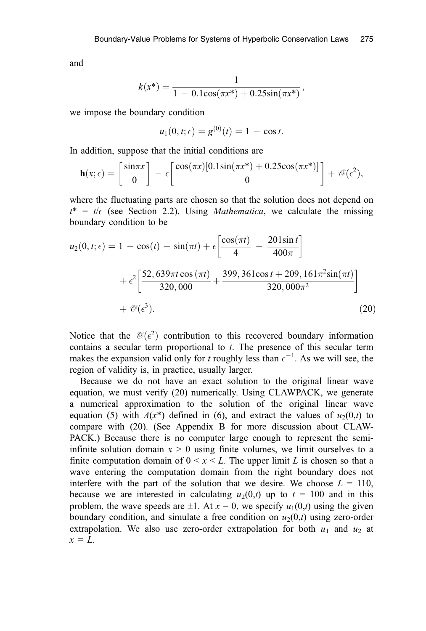and

$$
k(x^*) = \frac{1}{1 - 0.1\cos(\pi x^*) + 0.25\sin(\pi x^*)},
$$

we impose the boundary condition

$$
u_1(0, t; \epsilon) = g^{(0)}(t) = 1 - \cos t.
$$

In addition, suppose that the initial conditions are

$$
\mathbf{h}(x;\epsilon) = \begin{bmatrix} \sin \pi x \\ 0 \end{bmatrix} - \epsilon \begin{bmatrix} \cos(\pi x)[0.1\sin(\pi x^*) + 0.25\cos(\pi x^*)] \\ 0 \end{bmatrix} + \mathcal{O}(\epsilon^2),
$$

where the fluctuating parts are chosen so that the solution does not depend on  $t^* = t/\epsilon$  (see Section 2.2). Using *Mathematica*, we calculate the missing boundary condition to be

$$
u_2(0, t; \epsilon) = 1 - \cos(t) - \sin(\pi t) + \epsilon \left[ \frac{\cos(\pi t)}{4} - \frac{201 \sin t}{400 \pi} \right] + \epsilon^2 \left[ \frac{52,639 \pi t \cos(\pi t)}{320,000} + \frac{399,361 \cos t + 209,161 \pi^2 \sin(\pi t)}{320,000 \pi^2} \right] + \mathcal{O}(\epsilon^3).
$$
 (20)

Notice that the  $\mathcal{O}(\epsilon^2)$  contribution to this recovered boundary information contains a secular term proportional to  $t$ . The presence of this secular term makes the expansion valid only for t roughly less than  $\epsilon^{-1}$ . As we will see, the region of validity is, in practice, usually larger.

Because we do not have an exact solution to the original linear wave equation, we must verify (20) numerically. Using CLAWPACK, we generate a numerical approximation to the solution of the original linear wave equation (5) with  $A(x^*)$  defined in (6), and extract the values of  $u_2(0,t)$  to compare with (20). (See Appendix B for more discussion about CLAW-PACK.) Because there is no computer large enough to represent the semiinfinite solution domain  $x > 0$  using finite volumes, we limit ourselves to a finite computation domain of  $0 \le x \le L$ . The upper limit L is chosen so that a wave entering the computation domain from the right boundary does not interfere with the part of the solution that we desire. We choose  $L = 110$ , because we are interested in calculating  $u_2(0,t)$  up to  $t = 100$  and in this problem, the wave speeds are  $\pm 1$ . At  $x = 0$ , we specify  $u_1(0,t)$  using the given boundary condition, and simulate a free condition on  $u_2(0,t)$  using zero-order extrapolation. We also use zero-order extrapolation for both  $u_1$  and  $u_2$  at  $x = L$ .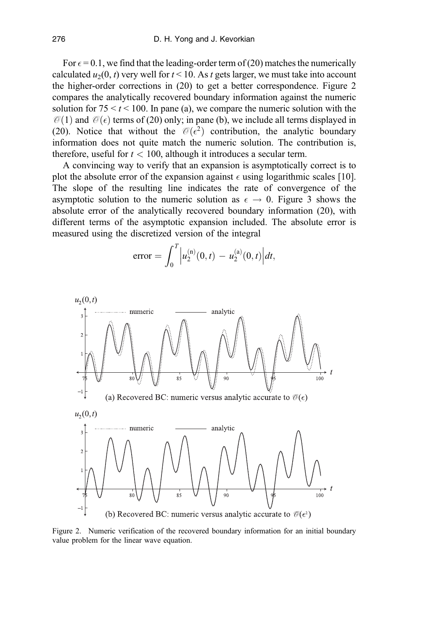For  $\epsilon$  = 0.1, we find that the leading-order term of (20) matches the numerically calculated  $u_2(0, t)$  very well for  $t < 10$ . As t gets larger, we must take into account the higher-order corrections in (20) to get a better correspondence. Figure 2 compares the analytically recovered boundary information against the numeric solution for  $75 < t < 100$ . In pane (a), we compare the numeric solution with the  $\mathcal{O}(1)$  and  $\mathcal{O}(\epsilon)$  terms of (20) only; in pane (b), we include all terms displayed in (20). Notice that without the  $\mathcal{O}(\epsilon^2)$  contribution, the analytic boundary information does not quite match the numeric solution. The contribution is, therefore, useful for  $t < 100$ , although it introduces a secular term.

A convincing way to verify that an expansion is asymptotically correct is to plot the absolute error of the expansion against  $\epsilon$  using logarithmic scales [10]. The slope of the resulting line indicates the rate of convergence of the asymptotic solution to the numeric solution as  $\epsilon \to 0$ . Figure 3 shows the absolute error of the analytically recovered boundary information (20), with different terms of the asymptotic expansion included. The absolute error is measured using the discretized version of the integral

error = 
$$
\int_0^T \left| u_2^{(n)}(0,t) - u_2^{(a)}(0,t) \right| dt
$$
,



Figure 2. Numeric verification of the recovered boundary information for an initial boundary value problem for the linear wave equation.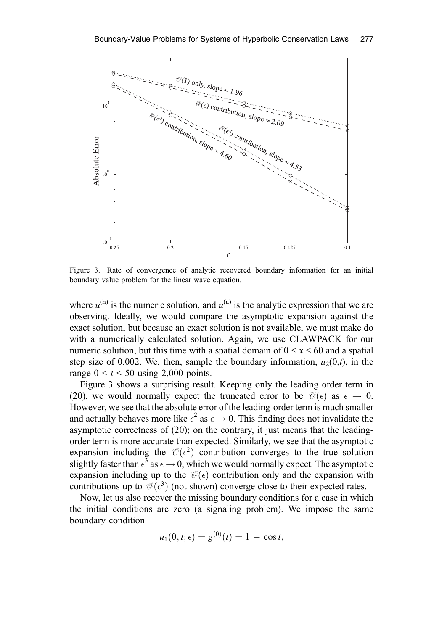

Figure 3. Rate of convergence of analytic recovered boundary information for an initial boundary value problem for the linear wave equation.

where  $u^{(n)}$  is the numeric solution, and  $u^{(a)}$  is the analytic expression that we are observing. Ideally, we would compare the asymptotic expansion against the exact solution, but because an exact solution is not available, we must make do with a numerically calculated solution. Again, we use CLAWPACK for our numeric solution, but this time with a spatial domain of  $0 \le x \le 60$  and a spatial step size of 0.002. We, then, sample the boundary information,  $u_2(0,t)$ , in the range  $0 < t < 50$  using 2,000 points.

Figure 3 shows a surprising result. Keeping only the leading order term in (20), we would normally expect the truncated error to be  $\mathcal{O}(\epsilon)$  as  $\epsilon \to 0$ . However, we see that the absolute error of the leading-order term is much smaller and actually behaves more like  $\epsilon^2$  as  $\epsilon \to 0$ . This finding does not invalidate the asymptotic correctness of (20); on the contrary, it just means that the leadingorder term is more accurate than expected. Similarly, we see that the asymptotic expansion including the  $\mathcal{O}(\epsilon^2)$  contribution converges to the true solution slightly faster than  $\epsilon^3$  as  $\epsilon \to 0$ , which we would normally expect. The asymptotic expansion including up to the  $\mathcal{O}(\epsilon)$  contribution only and the expansion with contributions up to  $\mathcal{O}(\epsilon^3)$  (not shown) converge close to their expected rates.

Now, let us also recover the missing boundary conditions for a case in which the initial conditions are zero (a signaling problem). We impose the same boundary condition

$$
u_1(0,t;\epsilon) = g^{(0)}(t) = 1 - \cos t,
$$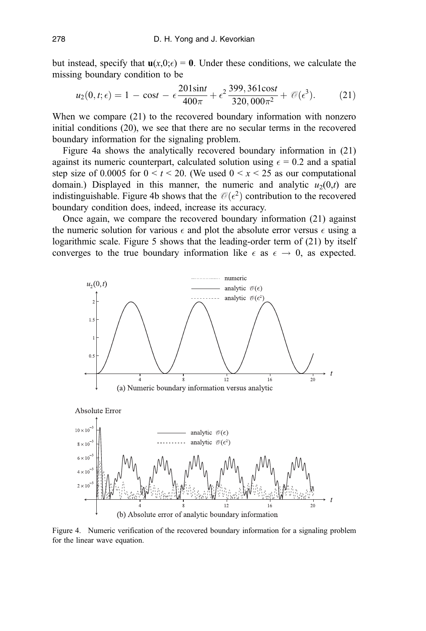but instead, specify that  $\mathbf{u}(x,0;\epsilon) = \mathbf{0}$ . Under these conditions, we calculate the missing boundary condition to be

$$
u_2(0, t; \epsilon) = 1 - \cos t - \epsilon \frac{201 \sin t}{400 \pi} + \epsilon^2 \frac{399, 361 \cos t}{320, 000 \pi^2} + \mathcal{O}(\epsilon^3). \tag{21}
$$

When we compare (21) to the recovered boundary information with nonzero initial conditions (20), we see that there are no secular terms in the recovered boundary information for the signaling problem.

Figure 4a shows the analytically recovered boundary information in (21) against its numeric counterpart, calculated solution using  $\epsilon = 0.2$  and a spatial step size of 0.0005 for  $0 \le t \le 20$ . (We used  $0 \le x \le 25$  as our computational domain.) Displayed in this manner, the numeric and analytic  $u_2(0,t)$  are indistinguishable. Figure 4b shows that the  $\mathcal{O}(\epsilon^2)$  contribution to the recovered boundary condition does, indeed, increase its accuracy.

Once again, we compare the recovered boundary information (21) against the numeric solution for various  $\epsilon$  and plot the absolute error versus  $\epsilon$  using a logarithmic scale. Figure 5 shows that the leading-order term of (21) by itself converges to the true boundary information like  $\epsilon$  as  $\epsilon \to 0$ , as expected.



Figure 4. Numeric verification of the recovered boundary information for a signaling problem for the linear wave equation.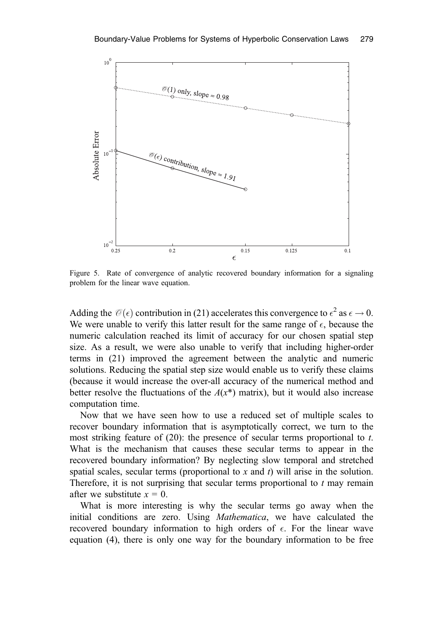

Figure 5. Rate of convergence of analytic recovered boundary information for a signaling problem for the linear wave equation.

Adding the  $\mathcal{O}(\epsilon)$  contribution in (21) accelerates this convergence to  $\epsilon^2$  as  $\epsilon \to 0$ . We were unable to verify this latter result for the same range of  $\epsilon$ , because the numeric calculation reached its limit of accuracy for our chosen spatial step size. As a result, we were also unable to verify that including higher-order terms in (21) improved the agreement between the analytic and numeric solutions. Reducing the spatial step size would enable us to verify these claims (because it would increase the over-all accuracy of the numerical method and better resolve the fluctuations of the  $A(x^*)$  matrix), but it would also increase computation time.

Now that we have seen how to use a reduced set of multiple scales to recover boundary information that is asymptotically correct, we turn to the most striking feature of (20): the presence of secular terms proportional to t. What is the mechanism that causes these secular terms to appear in the recovered boundary information? By neglecting slow temporal and stretched spatial scales, secular terms (proportional to  $x$  and  $t$ ) will arise in the solution. Therefore, it is not surprising that secular terms proportional to  $t$  may remain after we substitute  $x = 0$ .

What is more interesting is why the secular terms go away when the initial conditions are zero. Using Mathematica, we have calculated the recovered boundary information to high orders of  $\epsilon$ . For the linear wave equation (4), there is only one way for the boundary information to be free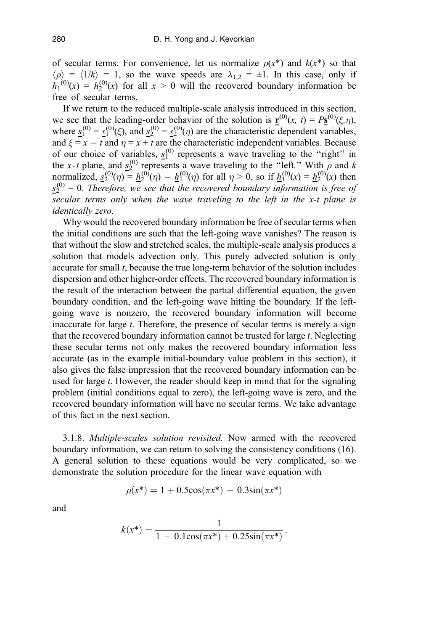of secular terms. For convenience, let us normalize  $\rho(x^*)$  and  $k(x^*)$  so that  $\langle \rho \rangle = \langle 1/k \rangle = 1$ , so the wave speeds are  $\lambda_{1,2} = \pm 1$ . In this case, only if  $h_1^{(0)}(x) = h_2^{(0)}(x)$  for all  $x > 0$  will the recovered boundary information be free of secular terms.

If we return to the reduced multiple-scale analysis introduced in this section, we see that the leading-order behavior of the solution is  $\mathbf{r}^{(0)}(x, t) = P\mathbf{s}^{(0)}(\xi, \eta)$ , where  $s_1^{(0)} = s_1^{(0)}(\xi)$ , and  $s_2^{(0)} = s_2^{(0)}(\eta)$  are the characteristic dependent variables, and  $\xi = x - t$  and  $\eta = x + t$  are the characteristic independent variables. Because of our choice of variables,  $s_1^{(0)}$  represents a wave traveling to the "right" in the x-t plane, and  $s_2^{(0)}$  represents a wave traveling to the "left." With  $\rho$  and k normalized,  $s_2^{(0)}(\eta) = h_2^{(0)}(\eta) - h_1^{(0)}(\eta)$  for all  $\eta > 0$ , so if  $h_1^{(0)}(x) = h_2^{(0)}(x)$  then  $s_2^{(0)} = 0$ . Therefore, we see that the recovered boundary information is free of secular terms only when the wave traveling to the left in the x-t plane is identically zero.

Why would the recovered boundary information be free of secular terms when the initial conditions are such that the left-going wave vanishes? The reason is that without the slow and stretched scales, the multiple-scale analysis produces a solution that models advection only. This purely advected solution is only accurate for small t, because the true long-term behavior of the solution includes dispersion and other higher-order effects. The recovered boundary information is the result of the interaction between the partial differential equation, the given boundary condition, and the left-going wave hitting the boundary. If the leftgoing wave is nonzero, the recovered boundary information will become inaccurate for large t. Therefore, the presence of secular terms is merely a sign that the recovered boundary information cannot be trusted for large t. Neglecting these secular terms not only makes the recovered boundary information less accurate (as in the example initial-boundary value problem in this section), it also gives the false impression that the recovered boundary information can be used for large t. However, the reader should keep in mind that for the signaling problem (initial conditions equal to zero), the left-going wave is zero, and the recovered boundary information will have no secular terms. We take advantage of this fact in the next section.

3.1.8. Multiple-scales solution revisited. Now armed with the recovered boundary information, we can return to solving the consistency conditions (16). A general solution to these equations would be very complicated, so we demonstrate the solution procedure for the linear wave equation with

$$
\rho(x^*) = 1 + 0.5\cos(\pi x^*) - 0.3\sin(\pi x^*)
$$

and

$$
k(x^*) = \frac{1}{1 - 0.1\cos(\pi x^*) + 0.25\sin(\pi x^*)},
$$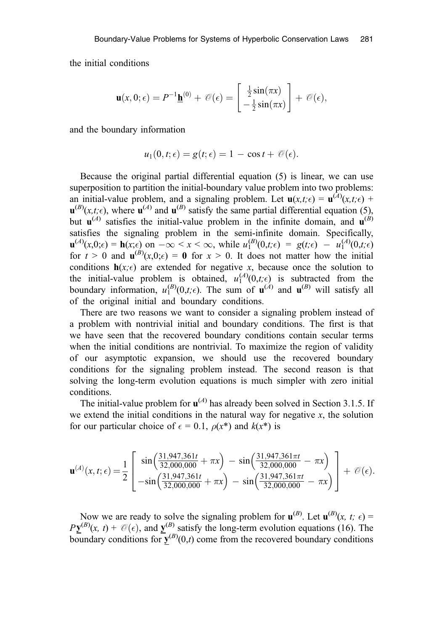the initial conditions

$$
\mathbf{u}(x,0;\epsilon) = P^{-1}\underline{\mathbf{h}}^{(0)} + \mathcal{O}(\epsilon) = \begin{bmatrix} \frac{1}{2}\sin(\pi x) \\ -\frac{1}{2}\sin(\pi x) \end{bmatrix} + \mathcal{O}(\epsilon),
$$

and the boundary information

$$
u_1(0,t;\epsilon)=g(t;\epsilon)=1-\cos t+\mathcal{O}(\epsilon).
$$

Because the original partial differential equation (5) is linear, we can use superposition to partition the initial-boundary value problem into two problems: an initial-value problem, and a signaling problem. Let  $\mathbf{u}(x,t;\epsilon) = \mathbf{u}^{(\lambda)}(x,t;\epsilon)$  +  $\mathbf{u}^{(B)}(x,t;\epsilon)$ , where  $\mathbf{u}^{(A)}$  and  $\mathbf{u}^{(B)}$  satisfy the same partial differential equation (5), but  $\mathbf{u}^{(A)}$  satisfies the initial-value problem in the infinite domain, and  $\mathbf{u}^{(B)}$ satisfies the signaling problem in the semi-infinite domain. Specifically,  $\mathbf{u}^{(A)}(x,0;\epsilon) = \mathbf{h}(x;\epsilon)$  on  $-\infty < x < \infty$ , while  $u_1^{(B)}(0,t;\epsilon) = g(t;\epsilon) - u_1^{(A)}(0,t;\epsilon)$ for  $t > 0$  and  $\mathbf{u}^{(B)}(x,0;\epsilon) = \mathbf{0}$  for  $x > 0$ . It does not matter how the initial conditions  $h(x;\epsilon)$  are extended for negative x, because once the solution to the initial-value problem is obtained,  $u_1^{(A)}(0,t;\epsilon)$  is subtracted from the boundary information,  $u_1^{(B)}(0,t;\epsilon)$ . The sum of  $\mathbf{u}^{(A)}$  and  $\mathbf{u}^{(B)}$  will satisfy all of the original initial and boundary conditions.

There are two reasons we want to consider a signaling problem instead of a problem with nontrivial initial and boundary conditions. The first is that we have seen that the recovered boundary conditions contain secular terms when the initial conditions are nontrivial. To maximize the region of validity of our asymptotic expansion, we should use the recovered boundary conditions for the signaling problem instead. The second reason is that solving the long-term evolution equations is much simpler with zero initial conditions.

The initial-value problem for  $\mathbf{u}^{(A)}$  has already been solved in Section 3.1.5. If we extend the initial conditions in the natural way for negative  $x$ , the solution for our particular choice of  $\epsilon = 0.1$ ,  $\rho(x^*)$  and  $k(x^*)$  is

$$
\mathbf{u}^{(A)}(x,t;\epsilon) = \frac{1}{2} \begin{bmatrix} \sin\left(\frac{31,947,361t}{32,000,000} + \pi x\right) - \sin\left(\frac{31,947,361\pi t}{32,000,000} - \pi x\right) \\ -\sin\left(\frac{31,947,361t}{32,000,000} + \pi x\right) - \sin\left(\frac{31,947,361\pi t}{32,000,000} - \pi x\right) \end{bmatrix} + \mathcal{O}(\epsilon).
$$

Now we are ready to solve the signaling problem for  $\mathbf{u}^{(B)}$ . Let  $\mathbf{u}^{(B)}(x, t; \epsilon)$  =  $P Y^{(B)}(x, t) + \mathcal{O}(\epsilon)$ , and  $Y^{(B)}$  satisfy the long-term evolution equations (16). The boundary conditions for  $\mathbf{y}^{(B)}(0,t)$  come from the recovered boundary conditions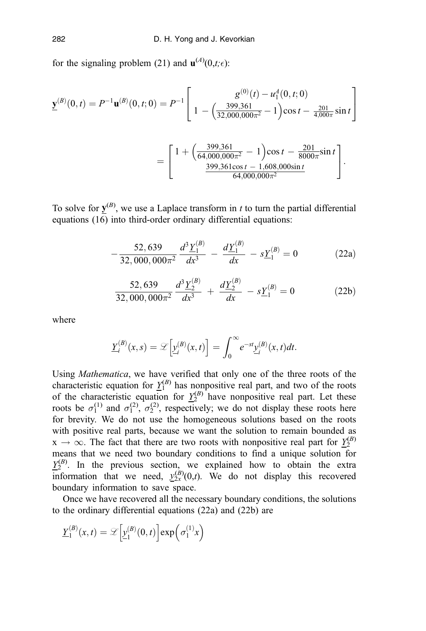for the signaling problem (21) and  $\mathbf{u}^{(A)}(0,t;\epsilon)$ :

$$
\underline{\mathbf{y}}^{(B)}(0,t) = P^{-1}\mathbf{u}^{(B)}(0,t;0) = P^{-1}\left[ \begin{array}{c} g^{(0)}(t) - u_1^A(0,t;0) \\ 1 - \left(\frac{399,361}{32,000,000\pi^2} - 1\right)\cos t - \frac{201}{4,000\pi}\sin t \end{array} \right]
$$

$$
= \left[ \begin{array}{c} 1 + \left(\frac{399,361}{64,000,000\pi^2} - 1\right)\cos t - \frac{201}{8000\pi}\sin t \\ \frac{399,361\cos t - 1,608,000\sin t}{64,000,000\pi^2} \end{array} \right].
$$

To solve for  $\underline{y}^{(B)}$ , we use a Laplace transform in t to turn the partial differential equations (16) into third-order ordinary differential equations:

$$
-\frac{52,639}{32,000,000\pi^2}\frac{d^3 \underline{Y}_1^{(B)}}{dx^3} - \frac{d \underline{Y}_1^{(B)}}{dx} - s\underline{Y}_1^{(B)} = 0
$$
 (22a)

$$
\frac{52,639}{32,000,000\pi^2}\frac{d^3 \underline{Y}_2^{(B)}}{dx^3} + \frac{d\underline{Y}_2^{(B)}}{dx} - s\underline{Y}_1^{(B)} = 0
$$
 (22b)

where

$$
\underline{Y}_i^{(B)}(x,s) = \mathscr{L}\left[\underline{y}_i^{(B)}(x,t)\right] = \int_0^\infty e^{-st} \underline{y}_i^{(B)}(x,t)dt.
$$

Using Mathematica, we have verified that only one of the three roots of the characteristic equation for  $Y_1^{(B)}$  has nonpositive real part, and two of the roots of the characteristic equation for  $Y_2^{(B)}$  have nonpositive real part. Let these roots be  $\sigma_1^{(1)}$  and  $\sigma_1^{(2)}$ ,  $\sigma_2^{(2)}$ , respectively; we do not display these roots here for brevity. We do not use the homogeneous solutions based on the roots with positive real parts, because we want the solution to remain bounded as  $x \rightarrow \infty$ . The fact that there are two roots with nonpositive real part for  $\frac{Y_2^{(B)}}{2}$ means that we need two boundary conditions to find a unique solution for  $Y_2^{(B)}$ . In the previous section, we explained how to obtain the extra information that we need,  $y_{2x}^{(B)}(0,t)$ . We do not display this recovered boundary information to save space.

Once we have recovered all the necessary boundary conditions, the solutions to the ordinary differential equations (22a) and (22b) are

$$
\underline{Y}_1^{(B)}(x,t) = \mathcal{L}\left[\underline{y}_1^{(B)}(0,t)\right] \exp\left(\sigma_1^{(1)}x\right)
$$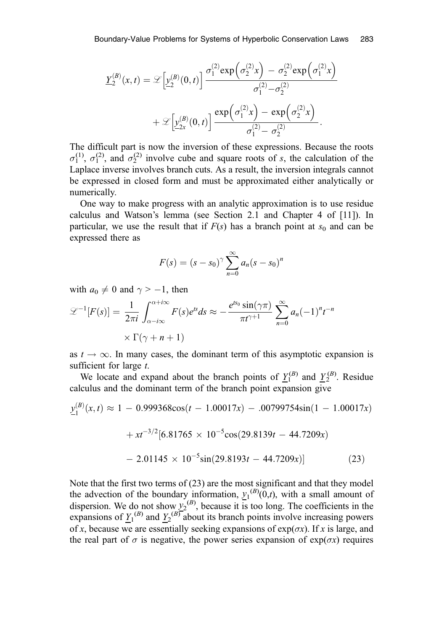$$
\underline{Y}_2^{(B)}(x,t) = \mathcal{L}\left[\underline{y}_2^{(B)}(0,t)\right] \frac{\sigma_1^{(2)} \exp\left(\sigma_2^{(2)}x\right) - \sigma_2^{(2)} \exp\left(\sigma_1^{(2)}x\right)}{\sigma_1^{(2)} - \sigma_2^{(2)}} + \mathcal{L}\left[\underline{y}_{2x}^{(B)}(0,t)\right] \frac{\exp\left(\sigma_1^{(2)}x\right) - \exp\left(\sigma_2^{(2)}x\right)}{\sigma_1^{(2)} - \sigma_2^{(2)}}.
$$

The difficult part is now the inversion of these expressions. Because the roots  $\sigma_1^{(1)}$ ,  $\sigma_1^{(2)}$ , and  $\sigma_2^{(2)}$  involve cube and square roots of s, the calculation of the Laplace inverse involves branch cuts. As a result, the inversion integrals cannot be expressed in closed form and must be approximated either analytically or numerically.

One way to make progress with an analytic approximation is to use residue calculus and Watson's lemma (see Section 2.1 and Chapter 4 of [11]). In particular, we use the result that if  $F(s)$  has a branch point at  $s_0$  and can be expressed there as

$$
F(s) = (s - s_0)^{\gamma} \sum_{n=0}^{\infty} a_n (s - s_0)^n
$$

with  $a_0 \neq 0$  and  $\gamma > -1$ , then

$$
\mathcal{L}^{-1}[F(s)] = \frac{1}{2\pi i} \int_{\alpha - i\infty}^{\alpha + i\infty} F(s)e^{ts}ds \approx -\frac{e^{ts_0}\sin(\gamma\pi)}{\pi t^{\gamma + 1}} \sum_{n=0}^{\infty} a_n (-1)^n t^{-n}
$$

$$
\times \Gamma(\gamma + n + 1)
$$

as  $t \to \infty$ . In many cases, the dominant term of this asymptotic expansion is sufficient for large  $t$ .

We locate and expand about the branch points of  $Y_1^{(B)}$  and  $Y_2^{(B)}$ . Residue calculus and the dominant term of the branch point expansion give

$$
\underline{y}_{1}^{(B)}(x,t) \approx 1 - 0.999368 \cos(t - 1.00017x) - .00799754 \sin(1 - 1.00017x) \n+ xt^{-3/2} [6.81765 \times 10^{-5} \cos(29.8139t - 44.7209x) \n- 2.01145 \times 10^{-5} \sin(29.8193t - 44.7209x)] \tag{23}
$$

Note that the first two terms of (23) are the most significant and that they model the advection of the boundary information,  $y_1^{(B)}(0,t)$ , with a small amount of dispersion. We do not show  $y_2^{(B)}$ , because it is too long. The coefficients in the expansions of  $\underline{Y_1}^{(B)}$  and  $\underline{Y_2}^{(B)}$  about its branch points involve increasing powers of x, because we are essentially seeking expansions of  $exp(\sigma x)$ . If x is large, and the real part of  $\sigma$  is negative, the power series expansion of exp( $\sigma x$ ) requires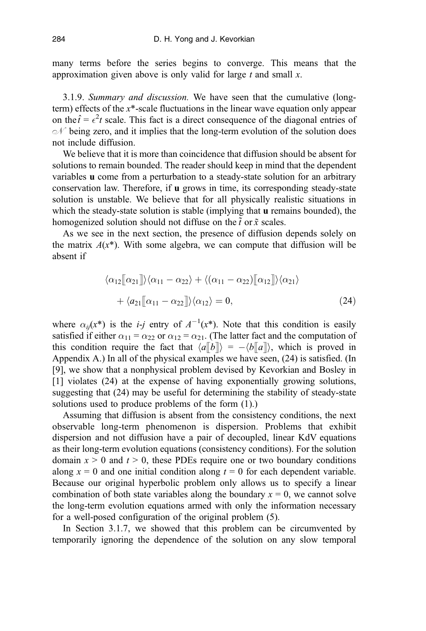many terms before the series begins to converge. This means that the approximation given above is only valid for large  $t$  and small  $x$ .

3.1.9. Summary and discussion. We have seen that the cumulative (longterm) effects of the  $x^*$ -scale fluctuations in the linear wave equation only appear on the  $\hat{t} = \epsilon^2 t$  scale. This fact is a direct consequence of the diagonal entries of  $\mathcal{N}$  being zero, and it implies that the long-term evolution of the solution does not include diffusion.

We believe that it is more than coincidence that diffusion should be absent for solutions to remain bounded. The reader should keep in mind that the dependent variables u come from a perturbation to a steady-state solution for an arbitrary conservation law. Therefore, if u grows in time, its corresponding steady-state solution is unstable. We believe that for all physically realistic situations in which the steady-state solution is stable (implying that **u** remains bounded), the homogenized solution should not diffuse on the  $\tilde{t}$  or  $\tilde{x}$  scales.

As we see in the next section, the presence of diffusion depends solely on the matrix  $A(x^*)$ . With some algebra, we can compute that diffusion will be absent if

$$
\langle \alpha_{12}[\![\alpha_{21}]\!] \rangle \langle \alpha_{11} - \alpha_{22} \rangle + \langle (\alpha_{11} - \alpha_{22})[\![\alpha_{12}]\!] \rangle \langle \alpha_{21} \rangle
$$
  
+ 
$$
\langle a_{21}[\![\alpha_{11} - \alpha_{22}]\!] \rangle \langle \alpha_{12} \rangle = 0,
$$
 (24)

where  $\alpha_{ij}(x^*)$  is the *i-j* entry of  $A^{-1}(x^*)$ . Note that this condition is easily satisfied if either  $\alpha_{11} = \alpha_{22}$  or  $\alpha_{12} = \alpha_{21}$ . (The latter fact and the computation of this condition require the fact that  $\langle a||b|| \rangle = -\langle b||a|| \rangle$ , which is proved in Appendix A.) In all of the physical examples we have seen, (24) is satisfied. (In [9], we show that a nonphysical problem devised by Kevorkian and Bosley in [1] violates (24) at the expense of having exponentially growing solutions, suggesting that (24) may be useful for determining the stability of steady-state solutions used to produce problems of the form (1).)

Assuming that diffusion is absent from the consistency conditions, the next observable long-term phenomenon is dispersion. Problems that exhibit dispersion and not diffusion have a pair of decoupled, linear KdV equations as their long-term evolution equations (consistency conditions). For the solution domain  $x > 0$  and  $t > 0$ , these PDEs require one or two boundary conditions along  $x = 0$  and one initial condition along  $t = 0$  for each dependent variable. Because our original hyperbolic problem only allows us to specify a linear combination of both state variables along the boundary  $x = 0$ , we cannot solve the long-term evolution equations armed with only the information necessary for a well-posed configuration of the original problem (5).

In Section 3.1.7, we showed that this problem can be circumvented by temporarily ignoring the dependence of the solution on any slow temporal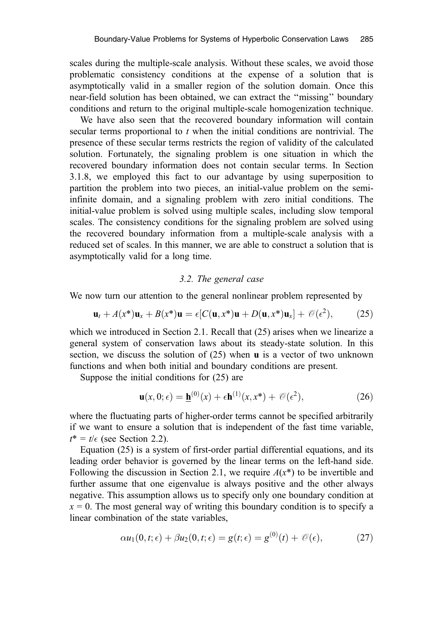scales during the multiple-scale analysis. Without these scales, we avoid those problematic consistency conditions at the expense of a solution that is asymptotically valid in a smaller region of the solution domain. Once this near-field solution has been obtained, we can extract the ''missing'' boundary conditions and return to the original multiple-scale homogenization technique.

We have also seen that the recovered boundary information will contain secular terms proportional to  $t$  when the initial conditions are nontrivial. The presence of these secular terms restricts the region of validity of the calculated solution. Fortunately, the signaling problem is one situation in which the recovered boundary information does not contain secular terms. In Section 3.1.8, we employed this fact to our advantage by using superposition to partition the problem into two pieces, an initial-value problem on the semiinfinite domain, and a signaling problem with zero initial conditions. The initial-value problem is solved using multiple scales, including slow temporal scales. The consistency conditions for the signaling problem are solved using the recovered boundary information from a multiple-scale analysis with a reduced set of scales. In this manner, we are able to construct a solution that is asymptotically valid for a long time.

#### 3.2. The general case

We now turn our attention to the general nonlinear problem represented by

$$
\mathbf{u}_t + A(x^*)\mathbf{u}_x + B(x^*)\mathbf{u} = \epsilon [C(\mathbf{u}, x^*)\mathbf{u} + D(\mathbf{u}, x^*)\mathbf{u}_x] + \mathcal{O}(\epsilon^2), \tag{25}
$$

which we introduced in Section 2.1. Recall that (25) arises when we linearize a general system of conservation laws about its steady-state solution. In this section, we discuss the solution of (25) when u is a vector of two unknown functions and when both initial and boundary conditions are present.

Suppose the initial conditions for (25) are

$$
\mathbf{u}(x,0;\epsilon) = \underline{\mathbf{h}}^{(0)}(x) + \epsilon \mathbf{h}^{(1)}(x,x^*) + \mathcal{O}(\epsilon^2),\tag{26}
$$

where the fluctuating parts of higher-order terms cannot be specified arbitrarily if we want to ensure a solution that is independent of the fast time variable,  $t^* = t/\epsilon$  (see Section 2.2).

Equation (25) is a system of first-order partial differential equations, and its leading order behavior is governed by the linear terms on the left-hand side. Following the discussion in Section 2.1, we require  $A(x^*)$  to be invertible and further assume that one eigenvalue is always positive and the other always negative. This assumption allows us to specify only one boundary condition at  $x = 0$ . The most general way of writing this boundary condition is to specify a linear combination of the state variables,

$$
\alpha u_1(0,t;\epsilon) + \beta u_2(0,t;\epsilon) = g(t;\epsilon) = g^{(0)}(t) + \mathcal{O}(\epsilon), \tag{27}
$$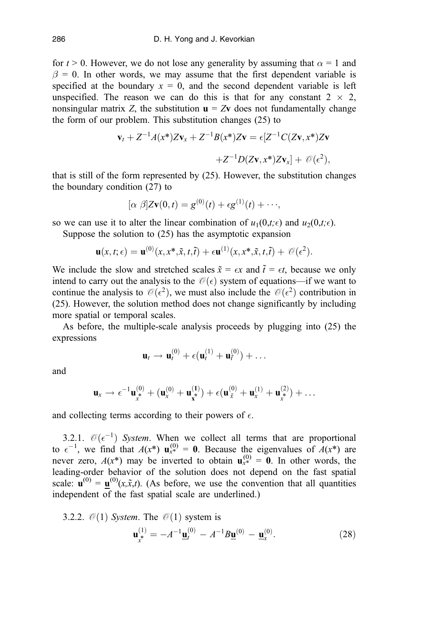for  $t > 0$ . However, we do not lose any generality by assuming that  $\alpha = 1$  and  $\beta = 0$ . In other words, we may assume that the first dependent variable is specified at the boundary  $x = 0$ , and the second dependent variable is left unspecified. The reason we can do this is that for any constant  $2 \times 2$ , nonsingular matrix Z, the substitution  $\mathbf{u} = Z\mathbf{v}$  does not fundamentally change the form of our problem. This substitution changes (25) to

$$
\mathbf{v}_t + Z^{-1}A(x^*)Z\mathbf{v}_x + Z^{-1}B(x^*)Z\mathbf{v} = \epsilon[Z^{-1}C(Z\mathbf{v}, x^*)Z\mathbf{v}
$$

$$
+Z^{-1}D(Z\mathbf{v}, x^*)Z\mathbf{v}_x] + \mathcal{O}(\epsilon^2),
$$

that is still of the form represented by (25). However, the substitution changes the boundary condition (27) to

$$
[\alpha \beta]Z\mathbf{v}(0,t) = g^{(0)}(t) + \epsilon g^{(1)}(t) + \cdots,
$$

so we can use it to alter the linear combination of  $u_1(0,t;\epsilon)$  and  $u_2(0,t;\epsilon)$ .

Suppose the solution to (25) has the asymptotic expansion

$$
\mathbf{u}(x,t;\epsilon) = \mathbf{u}^{(0)}(x,x^*,\tilde{x},t,\tilde{t}) + \epsilon \mathbf{u}^{(1)}(x,x^*,\tilde{x},t,\tilde{t}) + \mathcal{O}(\epsilon^2).
$$

We include the slow and stretched scales  $\tilde{x} = \epsilon x$  and  $\tilde{t} = \epsilon t$ , because we only intend to carry out the analysis to the  $\mathcal{O}(\epsilon)$  system of equations—if we want to continue the analysis to  $\mathcal{O}(\epsilon^2)$ , we must also include the  $\mathcal{O}(\epsilon^2)$  contribution in (25). However, the solution method does not change significantly by including more spatial or temporal scales.

As before, the multiple-scale analysis proceeds by plugging into (25) the expressions

$$
\mathbf{u}_t \to \mathbf{u}_t^{(0)} + \epsilon (\mathbf{u}_t^{(1)} + \mathbf{u}_t^{(0)}) + \ldots
$$

and

$$
\mathbf{u}_x \to \epsilon^{-1} \mathbf{u}_x^{(0)} + (\mathbf{u}_x^{(0)} + \mathbf{u}_x^{(1)}) + \epsilon (\mathbf{u}_{\tilde{x}}^{(0)} + \mathbf{u}_x^{(1)} + \mathbf{u}_x^{(2)}) + \dots
$$

and collecting terms according to their powers of  $\epsilon$ .

3.2.1.  $\mathcal{O}(\epsilon^{-1})$  System. When we collect all terms that are proportional to  $\epsilon^{-1}$ , we find that  $A(x^*)$   $\mathbf{u}_{x^*}^{(0)} = \mathbf{0}$ . Because the eigenvalues of  $A(x^*)$  are never zero,  $A(x^*)$  may be inverted to obtain  $\mathbf{u}_{x^*}^{(0)} = \mathbf{0}$ . In other words, the leading-order behavior of the solution does not depend on the fast spatial scale:  $\mathbf{u}^{(0)} = \mathbf{u}^{(0)}(x, \tilde{x}, t)$ . (As before, we use the convention that all quantities independent of the fast spatial scale are underlined.)

3.2.2. 
$$
\mathcal{O}(1)
$$
 System. The  $\mathcal{O}(1)$  system is  
\n
$$
\mathbf{u}_{x}^{(1)} = -A^{-1} \underline{\mathbf{u}}_{t}^{(0)} - A^{-1} B \underline{\mathbf{u}}^{(0)} - \underline{\mathbf{u}}_{x}^{(0)}.
$$
\n(28)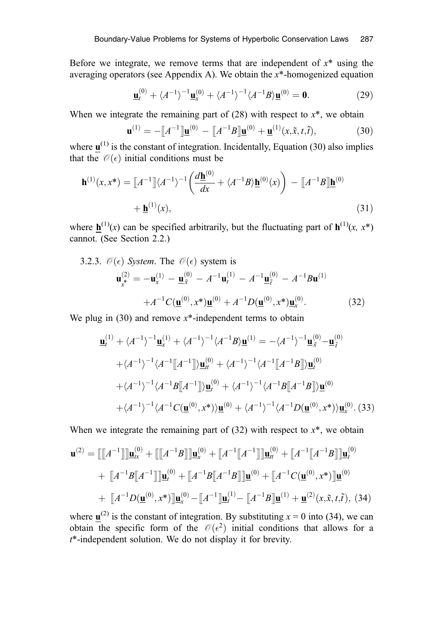Before we integrate, we remove terms that are independent of  $x^*$  using the averaging operators (see Appendix A). We obtain the  $x^*$ -homogenized equation

$$
\underline{\mathbf{u}}_t^{(0)} + \langle A^{-1} \rangle^{-1} \underline{\mathbf{u}}_x^{(0)} + \langle A^{-1} \rangle^{-1} \langle A^{-1} B \rangle \underline{\mathbf{u}}^{(0)} = \mathbf{0}.
$$
 (29)

When we integrate the remaining part of  $(28)$  with respect to  $x^*$ , we obtain

$$
\mathbf{u}^{(1)} = -[\![A^{-1}]\!] \mathbf{u}^{(0)} - [\![A^{-1}B]\!] \mathbf{u}^{(0)} + \mathbf{u}^{(1)}(x, \tilde{x}, t, \tilde{t}),
$$
(30)

where  $\mathbf{u}^{(1)}$  is the constant of integration. Incidentally, Equation (30) also implies that the  $\mathcal{O}(\epsilon)$  initial conditions must be

$$
\mathbf{h}^{(1)}(x,x^*) = \llbracket A^{-1} \rrbracket \langle A^{-1} \rangle^{-1} \left( \frac{d\underline{\mathbf{h}}^{(0)}}{dx} + \langle A^{-1}B \rangle \underline{\mathbf{h}}^{(0)}(x) \right) - \llbracket A^{-1}B \rrbracket \underline{\mathbf{h}}^{(0)} + \underline{\mathbf{h}}^{(1)}(x),
$$
\n(31)

where  $h^{(1)}(x)$  can be specified arbitrarily, but the fluctuating part of  $h^{(1)}(x, x^*)$ cannot. (See Section 2.2.)

3.2.3. 
$$
\mathcal{O}(\epsilon)
$$
 System. The  $\mathcal{O}(\epsilon)$  system is  
\n
$$
\mathbf{u}_{x}^{(2)} = -\mathbf{u}_{x}^{(1)} - \underline{\mathbf{u}}_{x}^{(0)} - A^{-1}\mathbf{u}_{t}^{(1)} - A^{-1}\underline{\mathbf{u}}_{t}^{(0)} - A^{-1}B\mathbf{u}^{(1)}
$$
\n
$$
+A^{-1}C(\underline{\mathbf{u}}^{(0)}, x^*)\underline{\mathbf{u}}^{(0)} + A^{-1}D(\underline{\mathbf{u}}^{(0)}, x^*)\underline{\mathbf{u}}_{x}^{(0)}.
$$
\n(32)

We plug in  $(30)$  and remove  $x^*$ -independent terms to obtain

$$
\underline{\mathbf{u}}_{t}^{(1)} + \langle A^{-1} \rangle^{-1} \underline{\mathbf{u}}_{x}^{(1)} + \langle A^{-1} \rangle^{-1} \langle A^{-1}B \rangle \underline{\mathbf{u}}^{(1)} = -\langle A^{-1} \rangle^{-1} \underline{\mathbf{u}}_{x}^{(0)} - \underline{\mathbf{u}}_{t}^{(0)}
$$
  
+ $\langle A^{-1} \rangle^{-1} \langle A^{-1}[[A^{-1}]] \rangle \underline{\mathbf{u}}_{t}^{(0)} + \langle A^{-1} \rangle^{-1} \langle A^{-1}[[A^{-1}B]] \rangle \underline{\mathbf{u}}_{t}^{(0)}$   
+ $\langle A^{-1} \rangle^{-1} \langle A^{-1}B[[A^{-1}]] \rangle \underline{\mathbf{u}}_{t}^{(0)} + \langle A^{-1} \rangle^{-1} \langle A^{-1}B[[A^{-1}B]] \rangle \underline{\mathbf{u}}^{(0)}$   
+ $\langle A^{-1} \rangle^{-1} \langle A^{-1}C(\underline{\mathbf{u}}^{(0)}, x^*) \rangle \underline{\mathbf{u}}^{(0)} + \langle A^{-1} \rangle^{-1} \langle A^{-1}D(\underline{\mathbf{u}}^{(0)}, x^*) \rangle \underline{\mathbf{u}}_{x}^{(0)}.$  (33)

When we integrate the remaining part of  $(32)$  with respect to  $x^*$ , we obtain

$$
\mathbf{u}^{(2)} = [\![A^{-1}]\!] \mathbf{u}^{(0)}_{tx} + [\![A^{-1}B]\!] \mathbf{u}^{(0)}_{x} + [\![A^{-1}[\![A^{-1}]\!] \mathbf{u}^{(0)}_{tt} + [\![A^{-1}[\![A^{-1}]\!] \mathbf{u}^{(0)}_{tt} + [\![A^{-1}[\![A^{-1}B]\!] \mathbf{u}^{(0)}_{t}
$$
  
+ 
$$
[\![A^{-1}B[\![A^{-1}]\!] \mathbf{u}^{(0)}_{t} + [\![A^{-1}B[\![A^{-1}B]\!] \mathbf{u}^{(0)} + [\![A^{-1}C(\mathbf{u}^{(0)}, x^*)]\!] \mathbf{u}^{(0)}_{t}
$$
  
+ 
$$
[\![A^{-1}D(\mathbf{u}^{(0)}, x^*)]\!] \mathbf{u}^{(0)}_{x} - [\![A^{-1}]\!] \mathbf{u}^{(1)}_{t} - [\![A^{-1}B]\!] \mathbf{u}^{(1)} + \mathbf{u}^{(2)}(x, \tilde{x}, t, \tilde{t}),
$$
(34)

where  $\mathbf{u}^{(2)}$  is the constant of integration. By substituting  $x = 0$  into (34), we can obtain the specific form of the  $\mathcal{O}(\epsilon^2)$  initial conditions that allows for a t\*-independent solution. We do not display it for brevity.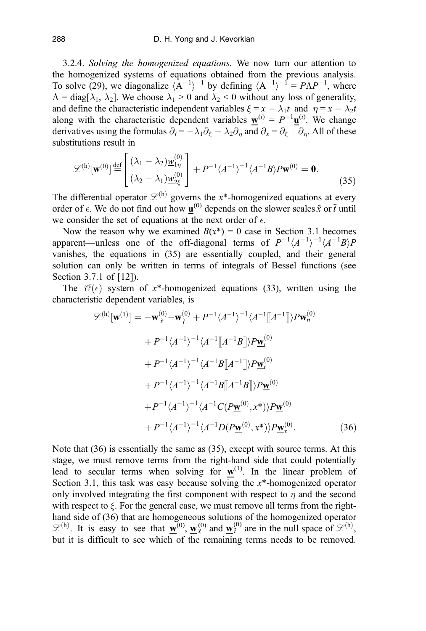3.2.4. Solving the homogenized equations. We now turn our attention to the homogenized systems of equations obtained from the previous analysis. To solve (29), we diagonalize  $\langle A^{-1} \rangle^{-1}$  by defining  $\langle A^{-1} \rangle^{-1} = P\Lambda P^{-1}$ , where  $\Lambda = \text{diag}[\lambda_1, \lambda_2]$ . We choose  $\lambda_1 > 0$  and  $\lambda_2 < 0$  without any loss of generality, and define the characteristic independent variables  $\xi = x - \lambda_1 t$  and  $\eta = x - \lambda_2 t$ along with the characteristic dependent variables  $\mathbf{w}^{(i)} = P^{-1} \mathbf{u}^{(i)}$ . We change derivatives using the formulas  $\partial_t = -\lambda_1 \partial_{\xi} - \lambda_2 \partial_{\eta}$  and  $\partial_x = \partial_{\xi} + \partial_{\eta}$ . All of these substitutions result in

$$
\mathcal{L}^{(h)}[\underline{\mathbf{w}}^{(0)}] \stackrel{\text{def}}{=} \begin{bmatrix} (\lambda_1 - \lambda_2) \underline{w}_{1\eta}^{(0)} \\ (\lambda_2 - \lambda_1) \underline{w}_{2\xi}^{(0)} \end{bmatrix} + P^{-1} \langle A^{-1} \rangle^{-1} \langle A^{-1}B \rangle P \underline{\mathbf{w}}^{(0)} = \mathbf{0}.
$$
 (35)

The differential operator  $\mathcal{L}^{(h)}$  governs the x\*-homogenized equations at every order of  $\epsilon$ . We do not find out how  $\underline{\mathbf{u}}^{(0)}$  depends on the slower scales  $\tilde{x}$  or  $\tilde{t}$  until we consider the set of equations at the next order of  $\epsilon$ .

Now the reason why we examined  $B(x^*) = 0$  case in Section 3.1 becomes apparent—unless one of the off-diagonal terms of  $P^{-1}(A^{-1})^{-1}(A^{-1}B)P$ vanishes, the equations in (35) are essentially coupled, and their general solution can only be written in terms of integrals of Bessel functions (see Section 3.7.1 of [12]).

The  $\mathcal{O}(\epsilon)$  system of x<sup>\*</sup>-homogenized equations (33), written using the characteristic dependent variables, is

$$
\mathcal{L}^{(h)}[\mathbf{w}^{(1)}] = -\mathbf{w}_{\tilde{x}}^{(0)} - \mathbf{w}_{\tilde{t}}^{(0)} + P^{-1} \langle A^{-1} \rangle^{-1} \langle A^{-1} [A^{-1}] \rangle P \mathbf{w}_{tt}^{(0)}
$$
  
+  $P^{-1} \langle A^{-1} \rangle^{-1} \langle A^{-1} [A^{-1}B] \rangle P \mathbf{w}_{t}^{(0)}$   
+  $P^{-1} \langle A^{-1} \rangle^{-1} \langle A^{-1} B [A^{-1}] \rangle P \mathbf{w}_{t}^{(0)}$   
+  $P^{-1} \langle A^{-1} \rangle^{-1} \langle A^{-1} B [A^{-1}B] \rangle P \mathbf{w}_{t}^{(0)}$   
+  $P^{-1} \langle A^{-1} \rangle^{-1} \langle A^{-1} C (P \mathbf{w}^{(0)}, x^*) \rangle P \mathbf{w}_{t}^{(0)}$   
+  $P^{-1} \langle A^{-1} \rangle^{-1} \langle A^{-1} D (P \mathbf{w}^{(0)}, x^*) \rangle P \mathbf{w}_{t}^{(0)}$ . (36)

Note that (36) is essentially the same as (35), except with source terms. At this stage, we must remove terms from the right-hand side that could potentially lead to secular terms when solving for  $w^{(1)}$ . In the linear problem of Section 3.1, this task was easy because solving the  $x^*$ -homogenized operator only involved integrating the first component with respect to  $\eta$  and the second with respect to  $\xi$ . For the general case, we must remove all terms from the righthand side of (36) that are homogeneous solutions of the homogenized operator  $\mathscr{L}^{(h)}$ . It is easy to see that  $\mathbf{w}^{(0)}$ ,  $\mathbf{w}^{(0)}$  and  $\mathbf{w}^{(0)}$  are in the null space of  $\mathscr{L}^{(h)}$ , but it is difficult to see which of the remaining terms needs to be removed.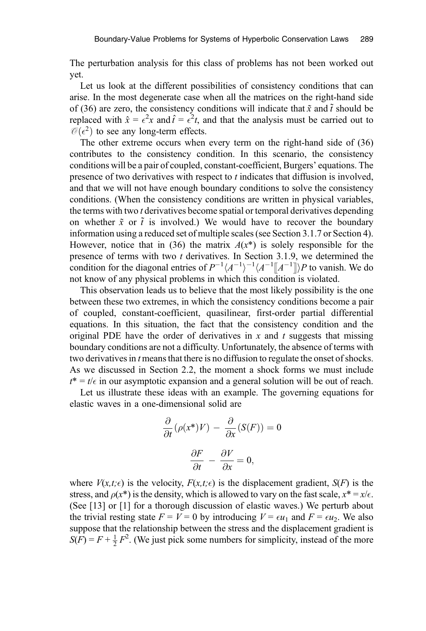The perturbation analysis for this class of problems has not been worked out yet.

Let us look at the different possibilities of consistency conditions that can arise. In the most degenerate case when all the matrices on the right-hand side of (36) are zero, the consistency conditions will indicate that  $\tilde{x}$  and  $\tilde{t}$  should be replaced with  $\hat{x} = \epsilon^2 x$  and  $\hat{t} = \epsilon^2 t$ , and that the analysis must be carried out to  $\mathcal{O}(\epsilon^2)$  to see any long-term effects.

The other extreme occurs when every term on the right-hand side of (36) contributes to the consistency condition. In this scenario, the consistency conditions will be a pair of coupled, constant-coefficient, Burgers' equations. The presence of two derivatives with respect to  $t$  indicates that diffusion is involved, and that we will not have enough boundary conditions to solve the consistency conditions. (When the consistency conditions are written in physical variables, the terms with two *t* derivatives become spatial or temporal derivatives depending on whether  $\tilde{x}$  or  $\tilde{t}$  is involved.) We would have to recover the boundary information using a reduced set of multiple scales (see Section 3.1.7 or Section 4). However, notice that in (36) the matrix  $A(x^*)$  is solely responsible for the presence of terms with two t derivatives. In Section 3.1.9, we determined the condition for the diagonal entries of  $P^{-1}(A^{-1})^{-1}(A^{-1}\|A^{-1}\|)P$  to vanish. We do not know of any physical problems in which this condition is violated.

This observation leads us to believe that the most likely possibility is the one between these two extremes, in which the consistency conditions become a pair of coupled, constant-coefficient, quasilinear, first-order partial differential equations. In this situation, the fact that the consistency condition and the original PDE have the order of derivatives in  $x$  and  $t$  suggests that missing boundary conditions are not a difficulty. Unfortunately, the absence of terms with two derivatives in *t* means that there is no diffusion to regulate the onset of shocks. As we discussed in Section 2.2, the moment a shock forms we must include  $t^* = t/\epsilon$  in our asymptotic expansion and a general solution will be out of reach.

Let us illustrate these ideas with an example. The governing equations for elastic waves in a one-dimensional solid are

$$
\frac{\partial}{\partial t}(\rho(x^*)V) - \frac{\partial}{\partial x}(S(F)) = 0
$$

$$
\frac{\partial F}{\partial t} - \frac{\partial V}{\partial x} = 0,
$$

where  $V(x,t;\epsilon)$  is the velocity,  $F(x,t;\epsilon)$  is the displacement gradient,  $S(F)$  is the stress, and  $\rho(x^*)$  is the density, which is allowed to vary on the fast scale,  $x^* = x/\epsilon$ . (See [13] or [1] for a thorough discussion of elastic waves.) We perturb about the trivial resting state  $F = V = 0$  by introducing  $V = \epsilon u_1$  and  $F = \epsilon u_2$ . We also suppose that the relationship between the stress and the displacement gradient is  $S(\widehat{F}) = F + \frac{1}{2} F^2$ . (We just pick some numbers for simplicity, instead of the more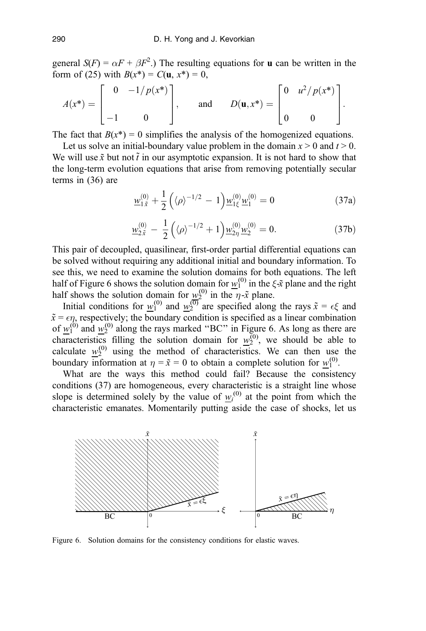general  $S(F) = \alpha F + \beta F^2$ .) The resulting equations for **u** can be written in the form of (25) with  $B(x^*) = C(u, x^*) = 0$ ,

$$
A(x^*) = \begin{bmatrix} 0 & -1/p(x^*) \\ -1 & 0 \end{bmatrix}, \quad \text{and} \quad D(\mathbf{u}, x^*) = \begin{bmatrix} 0 & u^2/p(x^*) \\ 0 & 0 \end{bmatrix}.
$$

The fact that  $B(x^*) = 0$  simplifies the analysis of the homogenized equations.

Let us solve an initial-boundary value problem in the domain  $x > 0$  and  $t > 0$ . We will use  $\tilde{x}$  but not  $\tilde{t}$  in our asymptotic expansion. It is not hard to show that the long-term evolution equations that arise from removing potentially secular terms in (36) are

$$
\underline{w}_{1\tilde{x}}^{(0)} + \frac{1}{2} \left( \langle \rho \rangle^{-1/2} - 1 \right) \underline{w}_{1\xi}^{(0)} \underline{w}_1^{(0)} = 0 \tag{37a}
$$

$$
\underline{w}_{2\tilde{x}}^{(0)} - \frac{1}{2} \left( \langle \rho \rangle^{-1/2} + 1 \right) \underline{w}_{2\eta}^{(0)} \underline{w}_2^{(0)} = 0. \tag{37b}
$$

This pair of decoupled, quasilinear, first-order partial differential equations can be solved without requiring any additional initial and boundary information. To see this, we need to examine the solution domains for both equations. The left half of Figure 6 shows the solution domain for  $w_1^{(0)}$  in the  $\xi \tilde{x}$  plane and the right half shows the solution domain for  $w_2^{(0)}$  in the  $\eta$ - $\tilde{x}$  plane.

Initial conditions for  $w_1^{(0)}$  and  $w_2^{(0)}$  are specified along the rays  $\tilde{x} = \epsilon \xi$  and  $\tilde{x} = \epsilon \eta$ , respectively; the boundary condition is specified as a linear combination of  $w_1^{(0)}$  and  $w_2^{(0)}$  along the rays marked "BC" in Figure 6. As long as there are characteristics filling the solution domain for  $w_2^{(0)}$ , we should be able to calculate  $w_2^{(0)}$  using the method of characteristics. We can then use the boundary information at  $\eta = \tilde{x} = 0$  to obtain a complete solution for  $w_1^{(0)}$ .

What are the ways this method could fail? Because the consistency conditions (37) are homogeneous, every characteristic is a straight line whose slope is determined solely by the value of  $w_i^{(0)}$  at the point from which the characteristic emanates. Momentarily putting aside the case of shocks, let us



Figure 6. Solution domains for the consistency conditions for elastic waves.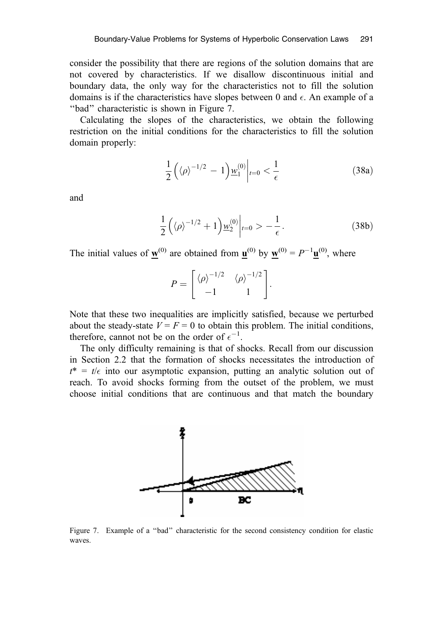consider the possibility that there are regions of the solution domains that are not covered by characteristics. If we disallow discontinuous initial and boundary data, the only way for the characteristics not to fill the solution domains is if the characteristics have slopes between 0 and  $\epsilon$ . An example of a ''bad'' characteristic is shown in Figure 7.

Calculating the slopes of the characteristics, we obtain the following restriction on the initial conditions for the characteristics to fill the solution domain properly:

$$
\frac{1}{2}\left(\left\langle \rho\right\rangle^{-1/2} - 1\right)\underline{w}_{1}^{(0)}\bigg|_{t=0} < \frac{1}{\epsilon} \tag{38a}
$$

and

$$
\frac{1}{2}\left(\langle\rho\rangle^{-1/2}+1\right)\underline{w}_2^{(0)}\bigg|_{t=0} > -\frac{1}{\epsilon}.\tag{38b}
$$

The initial values of  $\mathbf{w}^{(0)}$  are obtained from  $\mathbf{u}^{(0)}$  by  $\mathbf{w}^{(0)} = P^{-1} \mathbf{u}^{(0)}$ , where

$$
P = \begin{bmatrix} \langle \rho \rangle^{-1/2} & \langle \rho \rangle^{-1/2} \\ -1 & 1 \end{bmatrix}.
$$

Note that these two inequalities are implicitly satisfied, because we perturbed about the steady-state  $V = F = 0$  to obtain this problem. The initial conditions, therefore, cannot not be on the order of  $\epsilon^{-1}$ .

The only difficulty remaining is that of shocks. Recall from our discussion in Section 2.2 that the formation of shocks necessitates the introduction of  $t^* = t/\epsilon$  into our asymptotic expansion, putting an analytic solution out of reach. To avoid shocks forming from the outset of the problem, we must choose initial conditions that are continuous and that match the boundary



Figure 7. Example of a ''bad'' characteristic for the second consistency condition for elastic waves.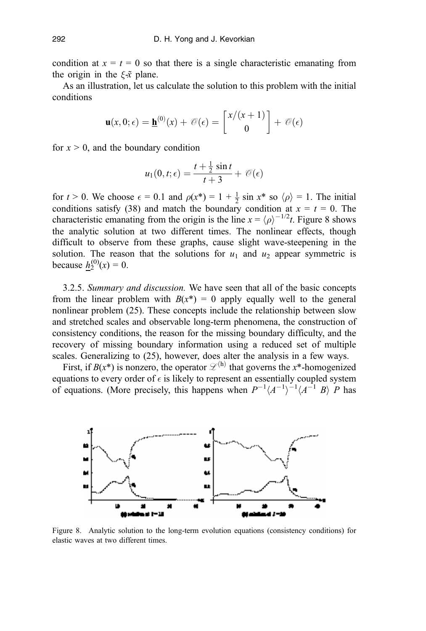condition at  $x = t = 0$  so that there is a single characteristic emanating from the origin in the  $\xi \tilde{\mathbf{x}}$  plane.

As an illustration, let us calculate the solution to this problem with the initial conditions

$$
\mathbf{u}(x,0;\epsilon) = \underline{\mathbf{h}}^{(0)}(x) + \mathcal{O}(\epsilon) = \begin{bmatrix} x/(x+1) \\ 0 \end{bmatrix} + \mathcal{O}(\epsilon)
$$

for  $x > 0$ , and the boundary condition

$$
u_1(0,t;\epsilon) = \frac{t+\frac{1}{2}\sin t}{t+3} + \mathcal{O}(\epsilon)
$$

for  $t > 0$ . We choose  $\epsilon = 0.1$  and  $\rho(x^*) = 1 + \frac{1}{2} \sin x^*$  so  $\langle \rho \rangle = 1$ . The initial conditions satisfy (38) and match the boundary condition at  $x = t = 0$ . The characteristic emanating from the origin is the line  $x = \langle \rho \rangle^{-1/2}t$ . Figure 8 shows the analytic solution at two different times. The nonlinear effects, though difficult to observe from these graphs, cause slight wave-steepening in the solution. The reason that the solutions for  $u_1$  and  $u_2$  appear symmetric is because <u> $h_2^{(0)}(x) = 0$ </u>.

3.2.5. Summary and discussion. We have seen that all of the basic concepts from the linear problem with  $B(x^*) = 0$  apply equally well to the general nonlinear problem (25). These concepts include the relationship between slow and stretched scales and observable long-term phenomena, the construction of consistency conditions, the reason for the missing boundary difficulty, and the recovery of missing boundary information using a reduced set of multiple scales. Generalizing to (25), however, does alter the analysis in a few ways.

First, if  $B(x^*)$  is nonzero, the operator  $\mathcal{L}^{(h)}$  that governs the x\*-homogenized equations to every order of  $\epsilon$  is likely to represent an essentially coupled system of equations. (More precisely, this happens when  $P^{-1}(A^{-1})^{-1}(A^{-1}B)$  P has



Figure 8. Analytic solution to the long-term evolution equations (consistency conditions) for elastic waves at two different times.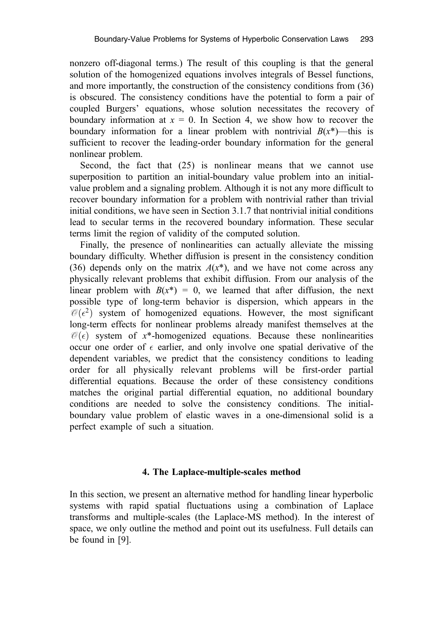nonzero off-diagonal terms.) The result of this coupling is that the general solution of the homogenized equations involves integrals of Bessel functions, and more importantly, the construction of the consistency conditions from (36) is obscured. The consistency conditions have the potential to form a pair of coupled Burgers' equations, whose solution necessitates the recovery of boundary information at  $x = 0$ . In Section 4, we show how to recover the boundary information for a linear problem with nontrivial  $B(x^*)$ —this is sufficient to recover the leading-order boundary information for the general nonlinear problem.

Second, the fact that (25) is nonlinear means that we cannot use superposition to partition an initial-boundary value problem into an initialvalue problem and a signaling problem. Although it is not any more difficult to recover boundary information for a problem with nontrivial rather than trivial initial conditions, we have seen in Section 3.1.7 that nontrivial initial conditions lead to secular terms in the recovered boundary information. These secular terms limit the region of validity of the computed solution.

Finally, the presence of nonlinearities can actually alleviate the missing boundary difficulty. Whether diffusion is present in the consistency condition (36) depends only on the matrix  $A(x^*)$ , and we have not come across any physically relevant problems that exhibit diffusion. From our analysis of the linear problem with  $B(x^*) = 0$ , we learned that after diffusion, the next possible type of long-term behavior is dispersion, which appears in the  $\mathcal{O}(\epsilon^2)$  system of homogenized equations. However, the most significant long-term effects for nonlinear problems already manifest themselves at the  $\mathcal{O}(\epsilon)$  system of x<sup>\*</sup>-homogenized equations. Because these nonlinearities occur one order of  $\epsilon$  earlier, and only involve one spatial derivative of the dependent variables, we predict that the consistency conditions to leading order for all physically relevant problems will be first-order partial differential equations. Because the order of these consistency conditions matches the original partial differential equation, no additional boundary conditions are needed to solve the consistency conditions. The initialboundary value problem of elastic waves in a one-dimensional solid is a perfect example of such a situation.

# 4. The Laplace-multiple-scales method

In this section, we present an alternative method for handling linear hyperbolic systems with rapid spatial fluctuations using a combination of Laplace transforms and multiple-scales (the Laplace-MS method). In the interest of space, we only outline the method and point out its usefulness. Full details can be found in [9].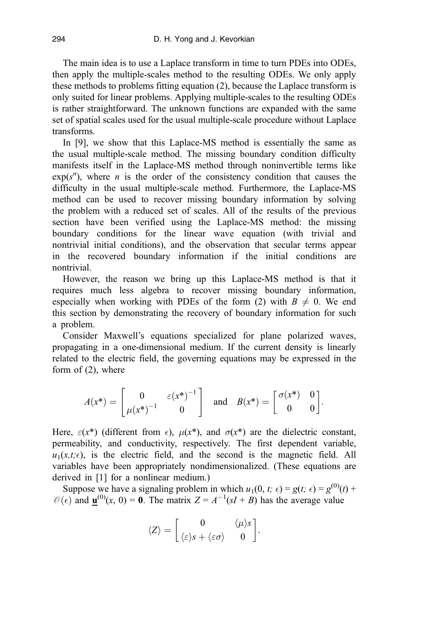The main idea is to use a Laplace transform in time to turn PDEs into ODEs, then apply the multiple-scales method to the resulting ODEs. We only apply these methods to problems fitting equation (2), because the Laplace transform is only suited for linear problems. Applying multiple-scales to the resulting ODEs is rather straightforward. The unknown functions are expanded with the same set of spatial scales used for the usual multiple-scale procedure without Laplace transforms.

In [9], we show that this Laplace-MS method is essentially the same as the usual multiple-scale method. The missing boundary condition difficulty manifests itself in the Laplace-MS method through noninvertible terms like  $exp(s^n)$ , where *n* is the order of the consistency condition that causes the difficulty in the usual multiple-scale method. Furthermore, the Laplace-MS method can be used to recover missing boundary information by solving the problem with a reduced set of scales. All of the results of the previous section have been verified using the Laplace-MS method: the missing boundary conditions for the linear wave equation (with trivial and nontrivial initial conditions), and the observation that secular terms appear in the recovered boundary information if the initial conditions are nontrivial.

However, the reason we bring up this Laplace-MS method is that it requires much less algebra to recover missing boundary information, especially when working with PDEs of the form (2) with  $B \neq 0$ . We end this section by demonstrating the recovery of boundary information for such a problem.

Consider Maxwell's equations specialized for plane polarized waves, propagating in a one-dimensional medium. If the current density is linearly related to the electric field, the governing equations may be expressed in the form of (2), where

$$
A(x^*) = \begin{bmatrix} 0 & \varepsilon(x^*)^{-1} \\ \mu(x^*)^{-1} & 0 \end{bmatrix} \quad \text{and} \quad B(x^*) = \begin{bmatrix} \sigma(x^*) & 0 \\ 0 & 0 \end{bmatrix}.
$$

Here,  $\varepsilon(x^*)$  (different from  $\epsilon$ ),  $\mu(x^*)$ , and  $\sigma(x^*)$  are the dielectric constant, permeability, and conductivity, respectively. The first dependent variable,  $u_1(x,t;\epsilon)$ , is the electric field, and the second is the magnetic field. All variables have been appropriately nondimensionalized. (These equations are derived in [1] for a nonlinear medium.)

Suppose we have a signaling problem in which  $u_1(0, t; \epsilon) = g(t; \epsilon) = g^{(0)}(t) +$  $\mathcal{O}(\epsilon)$  and  $\underline{\mathbf{u}}^{(0)}(x, 0) = \mathbf{0}$ . The matrix  $Z = A^{-1}(sI + B)$  has the average value

$$
\langle Z \rangle = \begin{bmatrix} 0 & \langle \mu \rangle s \\ \langle \varepsilon \rangle s + \langle \varepsilon \sigma \rangle & 0 \end{bmatrix}.
$$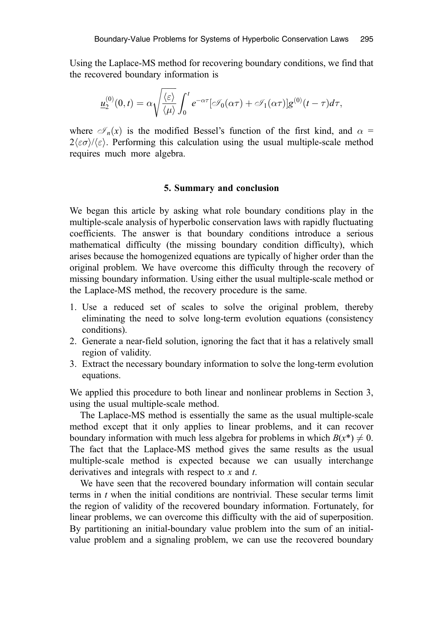Using the Laplace-MS method for recovering boundary conditions, we find that the recovered boundary information is

$$
\underline{u}_2^{(0)}(0,t) = \alpha \sqrt{\frac{\langle \varepsilon \rangle}{\langle \mu \rangle}} \int_0^t e^{-\alpha \tau} [\mathcal{I}_0(\alpha \tau) + \mathcal{I}_1(\alpha \tau)] g^{(0)}(t-\tau) d\tau,
$$

where  $\mathscr{I}_n(x)$  is the modified Bessel's function of the first kind, and  $\alpha =$  $2\langle \varepsilon \sigma \rangle / \langle \varepsilon \rangle$ . Performing this calculation using the usual multiple-scale method requires much more algebra.

## 5. Summary and conclusion

We began this article by asking what role boundary conditions play in the multiple-scale analysis of hyperbolic conservation laws with rapidly fluctuating coefficients. The answer is that boundary conditions introduce a serious mathematical difficulty (the missing boundary condition difficulty), which arises because the homogenized equations are typically of higher order than the original problem. We have overcome this difficulty through the recovery of missing boundary information. Using either the usual multiple-scale method or the Laplace-MS method, the recovery procedure is the same.

- 1. Use a reduced set of scales to solve the original problem, thereby eliminating the need to solve long-term evolution equations (consistency conditions).
- 2. Generate a near-field solution, ignoring the fact that it has a relatively small region of validity.
- 3. Extract the necessary boundary information to solve the long-term evolution equations.

We applied this procedure to both linear and nonlinear problems in Section 3, using the usual multiple-scale method.

The Laplace-MS method is essentially the same as the usual multiple-scale method except that it only applies to linear problems, and it can recover boundary information with much less algebra for problems in which  $B(x^*) \neq 0$ . The fact that the Laplace-MS method gives the same results as the usual multiple-scale method is expected because we can usually interchange derivatives and integrals with respect to  $x$  and  $t$ .

We have seen that the recovered boundary information will contain secular terms in t when the initial conditions are nontrivial. These secular terms limit the region of validity of the recovered boundary information. Fortunately, for linear problems, we can overcome this difficulty with the aid of superposition. By partitioning an initial-boundary value problem into the sum of an initialvalue problem and a signaling problem, we can use the recovered boundary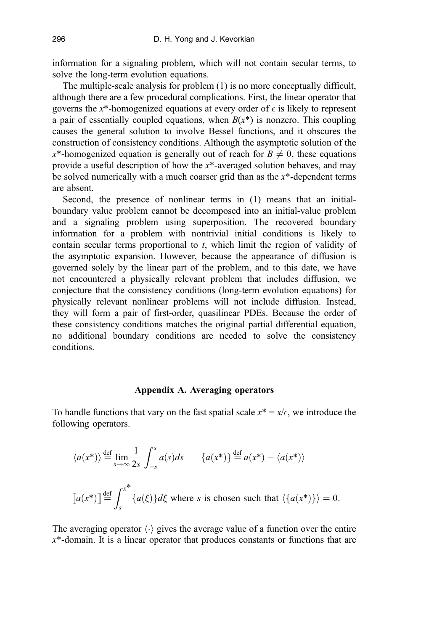information for a signaling problem, which will not contain secular terms, to solve the long-term evolution equations.

The multiple-scale analysis for problem (1) is no more conceptually difficult, although there are a few procedural complications. First, the linear operator that governs the x<sup>\*</sup>-homogenized equations at every order of  $\epsilon$  is likely to represent a pair of essentially coupled equations, when  $B(x^*)$  is nonzero. This coupling causes the general solution to involve Bessel functions, and it obscures the construction of consistency conditions. Although the asymptotic solution of the  $x^*$ -homogenized equation is generally out of reach for  $B \neq 0$ , these equations provide a useful description of how the  $x^*$ -averaged solution behaves, and may be solved numerically with a much coarser grid than as the  $x^*$ -dependent terms are absent.

Second, the presence of nonlinear terms in (1) means that an initialboundary value problem cannot be decomposed into an initial-value problem and a signaling problem using superposition. The recovered boundary information for a problem with nontrivial initial conditions is likely to contain secular terms proportional to t, which limit the region of validity of the asymptotic expansion. However, because the appearance of diffusion is governed solely by the linear part of the problem, and to this date, we have not encountered a physically relevant problem that includes diffusion, we conjecture that the consistency conditions (long-term evolution equations) for physically relevant nonlinear problems will not include diffusion. Instead, they will form a pair of first-order, quasilinear PDEs. Because the order of these consistency conditions matches the original partial differential equation, no additional boundary conditions are needed to solve the consistency conditions.

#### Appendix A. Averaging operators

To handle functions that vary on the fast spatial scale  $x^* = x/\epsilon$ , we introduce the following operators.

$$
\langle a(x^*) \rangle \stackrel{\text{def}}{=} \lim_{s \to \infty} \frac{1}{2s} \int_{-s}^{s} a(s) ds \qquad \{a(x^*)\} \stackrel{\text{def}}{=} a(x^*) - \langle a(x^*) \rangle
$$

$$
[a(x^*)] \stackrel{\text{def}}{=} \int_{s}^{x^*} \{a(\xi)\} d\xi \text{ where } s \text{ is chosen such that } \langle \{a(x^*)\} \rangle = 0.
$$

The averaging operator  $\langle \cdot \rangle$  gives the average value of a function over the entire  $x^*$ -domain. It is a linear operator that produces constants or functions that are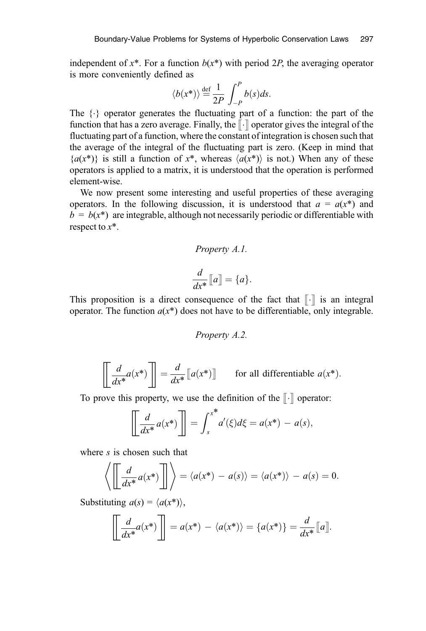independent of  $x^*$ . For a function  $b(x^*)$  with period 2P, the averaging operator is more conveniently defined as

$$
\langle b(x^*)\rangle \stackrel{\text{def}}{=} \frac{1}{2P} \int_{-P}^{P} b(s)ds.
$$

The  $\{\cdot\}$  operator generates the fluctuating part of a function: the part of the function that has a zero average. Finally, the  $\lceil \cdot \rceil$  operator gives the integral of the fluctuating part of a function, where the constant of integration is chosen such that the average of the integral of the fluctuating part is zero. (Keep in mind that  ${a(x^*)}$  is still a function of  $x^*$ , whereas  $\langle a(x^*) \rangle$  is not.) When any of these operators is applied to a matrix, it is understood that the operation is performed element-wise.

We now present some interesting and useful properties of these averaging operators. In the following discussion, it is understood that  $a = a(x^*)$  and  $b = b(x^*)$  are integrable, although not necessarily periodic or differentiable with respect to  $x^*$ .

# Property A.1.

$$
\frac{d}{dx^*}\llbracket a \rrbracket = \{a\}.
$$

This proposition is a direct consequence of the fact that  $\lbrack \cdot \rbrack$  is an integral operator. The function  $a(x^*)$  does not have to be differentiable, only integrable.

Property A.2.

$$
\left[\frac{d}{dx^*}a(x^*)\right] = \frac{d}{dx^*}\left[a(x^*)\right]
$$
 for all differentiable  $a(x^*)$ .

To prove this property, we use the definition of the  $\|\cdot\|$  operator:

$$
\left[\frac{d}{dx^*}a(x^*)\right] = \int_s^{x^*} a'(\xi)d\xi = a(x^*) - a(s),
$$

where s is chosen such that

$$
\left\langle \left[ \frac{d}{dx^*} a(x^*) \right] \right] \right\rangle = \left\langle a(x^*) - a(s) \right\rangle = \left\langle a(x^*) \right\rangle - a(s) = 0.
$$

Substituting  $a(s) = \langle a(x^*) \rangle$ ,

$$
\left[\frac{d}{dx^*}a(x^*)\right] = a(x^*) - \langle a(x^*)\rangle = \{a(x^*)\} = \frac{d}{dx^*}\llbracket a\rrbracket.
$$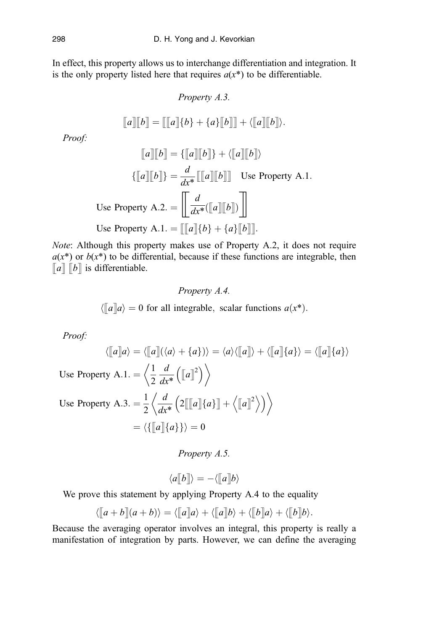In effect, this property allows us to interchange differentiation and integration. It is the only property listed here that requires  $a(x^*)$  to be differentiable.

Property A.3.  
\n
$$
[a][b] = [[a][b] + \{a\}][b]] + \langle [[a][b]] \rangle.
$$

Proof:

$$
[\![a]\!][\![b]\!] = \{ [\![a]\!][\![b]\!] \} + \langle [\![a]\!][\![b]\!]\rangle
$$

$$
\{ [\![a]\!][\![b]\!] \} = \frac{d}{dx^*} [\![[\![a]\!][\![b]\!]] \quad \text{Use Property A.1.}
$$
  
Use Property A.2. = 
$$
\left[\!\!\begin{array}{c}\! \frac{d}{dx^*}([\![a]\!][\![b]\!]) \!\! \end{array}\!\!\right]
$$
  
Use Property A.1. = 
$$
[\![[\![a]\!](b] + \{a\}[\![b]\!]].
$$

Note: Although this property makes use of Property A.2, it does not require  $a(x^*)$  or  $b(x^*)$  to be differential, because if these functions are integrable, then  $\llbracket a \rrbracket$   $\llbracket b \rrbracket$  is differentiable.

> Property A.4.  $\langle \llbracket a \rrbracket a \rangle = 0$  for all integrable, scalar functions  $a(x^*)$ .

Proof:

$$
\langle [a] \rangle = \langle [a] (\langle a \rangle + \{a\}) \rangle = \langle a \rangle \langle [a] \rangle + \langle [a] \{a\} \rangle = \langle [a] \{a\} \rangle
$$
  
Use Property A.1. =  $\langle \frac{1}{2} \frac{d}{dx^*} ([a]^2) \rangle$   
Use Property A.3. =  $\frac{1}{2} \langle \frac{d}{dx^*} (2[[[a]] \{a\}] + \langle [a]^2 \rangle) \rangle$   
=  $\langle [[a]] \{a\} \rangle = 0$ 

Property A.5.

$$
\langle a \lbrack\!\lbrack b \rbrack\!\rbrack\rangle = -\langle\lbrack\!\lbrack a \rbrack\!\rbrack b\rangle
$$

We prove this statement by applying Property A.4 to the equality

$$
\langle [a+b](a+b)\rangle = \langle [a][a]\rangle + \langle [a][b]\rangle + \langle [b][a]\rangle + \langle [b][b]\rangle.
$$

Because the averaging operator involves an integral, this property is really a manifestation of integration by parts. However, we can define the averaging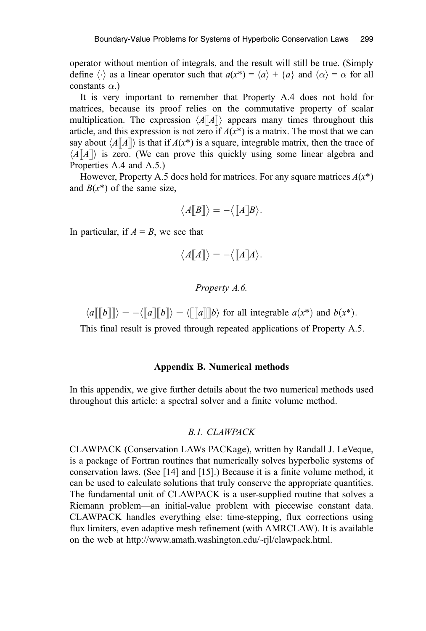operator without mention of integrals, and the result will still be true. (Simply define  $\langle \cdot \rangle$  as a linear operator such that  $a(x^*) = \langle a \rangle + \langle a \rangle$  and  $\langle \alpha \rangle = \alpha$  for all constants  $\alpha$ .)

It is very important to remember that Property A.4 does not hold for matrices, because its proof relies on the commutative property of scalar multiplication. The expression  $\langle A\|A\|$  appears many times throughout this article, and this expression is not zero if  $A(x^*)$  is a matrix. The most that we can say about  $\langle A\|A\|$  is that if  $A(x^*)$  is a square, integrable matrix, then the trace of  $\langle A\|A\|$  is zero. (We can prove this quickly using some linear algebra and Properties A.4 and A.5.)

However, Property A.5 does hold for matrices. For any square matrices  $A(x^*)$ and  $B(x^*)$  of the same size,

$$
\langle A[\![B]\!]\rangle = -\langle [\![A]\!]B\rangle.
$$

In particular, if  $A = B$ , we see that

$$
\langle A[\![A]\!] \rangle = - \langle [\![A]\!] A \rangle.
$$

#### Property A.6.

 $\langle a \Vert [b] \Vert \rangle = - \langle [a] \Vert b \Vert \rangle = \langle [a] \Vert b \rangle$  for all integrable  $a(x^*)$  and  $b(x^*)$ .

This final result is proved through repeated applications of Property A.5.

## Appendix B. Numerical methods

In this appendix, we give further details about the two numerical methods used throughout this article: a spectral solver and a finite volume method.

#### B.1. CLAWPACK

CLAWPACK (Conservation LAWs PACKage), written by Randall J. LeVeque, is a package of Fortran routines that numerically solves hyperbolic systems of conservation laws. (See [14] and [15].) Because it is a finite volume method, it can be used to calculate solutions that truly conserve the appropriate quantities. The fundamental unit of CLAWPACK is a user-supplied routine that solves a Riemann problem—an initial-value problem with piecewise constant data. CLAWPACK handles everything else: time-stepping, flux corrections using flux limiters, even adaptive mesh refinement (with AMRCLAW). It is available on the web at http://www.amath.washington.edu/˜rjl/clawpack.html.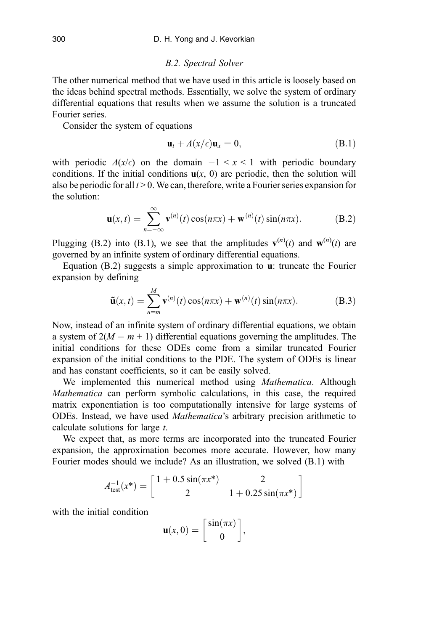#### B.2. Spectral Solver

The other numerical method that we have used in this article is loosely based on the ideas behind spectral methods. Essentially, we solve the system of ordinary differential equations that results when we assume the solution is a truncated Fourier series.

Consider the system of equations

$$
\mathbf{u}_t + A(x/\epsilon)\mathbf{u}_x = 0, \tag{B.1}
$$

with periodic  $A(x/\epsilon)$  on the domain  $-1 \le x \le 1$  with periodic boundary conditions. If the initial conditions  $u(x, 0)$  are periodic, then the solution will also be periodic for all  $t > 0$ . We can, therefore, write a Fourier series expansion for the solution:

$$
\mathbf{u}(x,t) = \sum_{n=-\infty}^{\infty} \mathbf{v}^{(n)}(t) \cos(n\pi x) + \mathbf{w}^{(n)}(t) \sin(n\pi x).
$$
 (B.2)

Plugging (B.2) into (B.1), we see that the amplitudes  $\mathbf{v}^{(n)}(t)$  and  $\mathbf{w}^{(n)}(t)$  are governed by an infinite system of ordinary differential equations.

Equation  $(B.2)$  suggests a simple approximation to **u**: truncate the Fourier expansion by defining

$$
\tilde{\mathbf{u}}(x,t) = \sum_{n=m}^{M} \mathbf{v}^{(n)}(t) \cos(n\pi x) + \mathbf{w}^{(n)}(t) \sin(n\pi x).
$$
 (B.3)

Now, instead of an infinite system of ordinary differential equations, we obtain a system of  $2(M - m + 1)$  differential equations governing the amplitudes. The initial conditions for these ODEs come from a similar truncated Fourier expansion of the initial conditions to the PDE. The system of ODEs is linear and has constant coefficients, so it can be easily solved.

We implemented this numerical method using *Mathematica*. Although Mathematica can perform symbolic calculations, in this case, the required matrix exponentiation is too computationally intensive for large systems of ODEs. Instead, we have used Mathematica's arbitrary precision arithmetic to calculate solutions for large t.

We expect that, as more terms are incorporated into the truncated Fourier expansion, the approximation becomes more accurate. However, how many Fourier modes should we include? As an illustration, we solved (B.1) with

$$
A_{\text{test}}^{-1}(x^*) = \begin{bmatrix} 1 + 0.5\sin(\pi x^*) & 2\\ 2 & 1 + 0.25\sin(\pi x^*) \end{bmatrix}
$$

with the initial condition

$$
\mathbf{u}(x,0) = \begin{bmatrix} \sin(\pi x) \\ 0 \end{bmatrix},
$$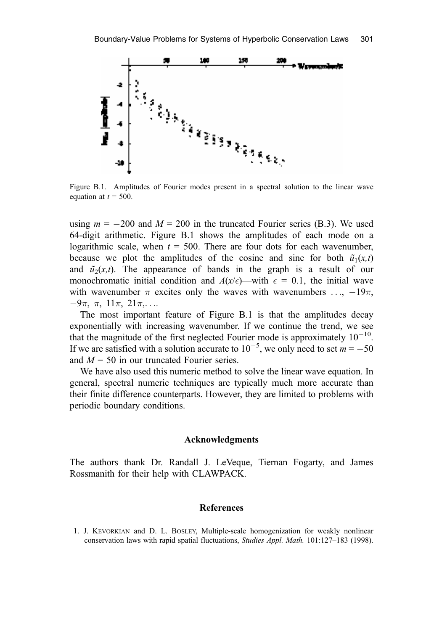

Figure B.1. Amplitudes of Fourier modes present in a spectral solution to the linear wave equation at  $t = 500$ .

using  $m = -200$  and  $M = 200$  in the truncated Fourier series (B.3). We used 64-digit arithmetic. Figure B.1 shows the amplitudes of each mode on a logarithmic scale, when  $t = 500$ . There are four dots for each wavenumber, because we plot the amplitudes of the cosine and sine for both  $\tilde{u}_1(x,t)$ and  $\tilde{u}_2(x,t)$ . The appearance of bands in the graph is a result of our monochromatic initial condition and  $A(x/\epsilon)$ —with  $\epsilon = 0.1$ , the initial wave with wavenumber  $\pi$  excites only the waves with wavenumbers ...,  $-19\pi$ ,  $-9\pi, \pi, 11\pi, 21\pi,...$ 

The most important feature of Figure B.1 is that the amplitudes decay exponentially with increasing wavenumber. If we continue the trend, we see that the magnitude of the first neglected Fourier mode is approximately  $10^{-10}$ . If we are satisfied with a solution accurate to  $10^{-5}$ , we only need to set  $m = -50$ and  $M = 50$  in our truncated Fourier series.

We have also used this numeric method to solve the linear wave equation. In general, spectral numeric techniques are typically much more accurate than their finite difference counterparts. However, they are limited to problems with periodic boundary conditions.

#### Acknowledgments

The authors thank Dr. Randall J. LeVeque, Tiernan Fogarty, and James Rossmanith for their help with CLAWPACK.

# **References**

1. J. KEVORKIAN and D. L. BOSLEY, Multiple-scale homogenization for weakly nonlinear conservation laws with rapid spatial fluctuations, Studies Appl. Math. 101:127–183 (1998).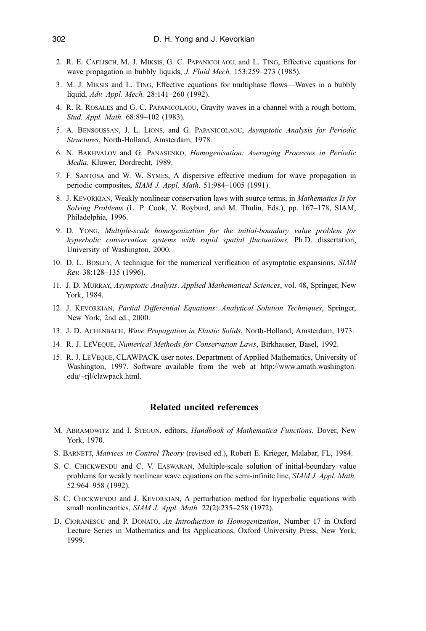- 2. R. E. CAFLISCH, M. J. MIKSIS, G. C. PAPANICOLAOU, and L. TING, Effective equations for wave propagation in bubbly liquids, J. Fluid Mech. 153:259–273 (1985).
- 3. M. J. MIKSIS and L. TING, Effective equations for multiphase flows—Waves in a bubbly liquid, Adv. Appl. Mech. 28:141–260 (1992).
- 4. R. R. ROSALES and G. C. PAPANICOLAOU, Gravity waves in a channel with a rough bottom, Stud. Appl. Math. 68:89–102 (1983).
- 5. A. BENSOUSSAN, J. L. LIONS, and G. PAPANICOLAOU, Asymptotic Analysis for Periodic Structures, North-Holland, Amsterdam, 1978.
- 6. N. BAKHVALOV and G. PANASENKO, Homogenisation: Averaging Processes in Periodic Media, Kluwer, Dordrecht, 1989.
- 7. F. SANTOSA and W. W. SYMES, A dispersive effective medium for wave propagation in periodic composites, SIAM J. Appl. Math. 51:984-1005 (1991).
- 8. J. KEVORKIAN, Weakly nonlinear conservation laws with source terms, in Mathematics Is for Solving Problems (L. P. Cook, V. Royburd, and M. Thulin, Eds.), pp. 167–178, SIAM, Philadelphia, 1996.
- 9. D. YONG, Multiple-scale homogenization for the initial-boundary value problem for hyperbolic conservation systems with rapid spatial fluctuations, Ph.D. dissertation, University of Washington, 2000.
- 10. D. L. BOSLEY, A technique for the numerical verification of asymptotic expansions, SIAM Rev. 38:128–135 (1996).
- 11. J. D. MURRAY, Asymptotic Analysis. Applied Mathematical Sciences, vol. 48, Springer, New York, 1984.
- 12. J. KEVORKIAN, Partial Differential Equations: Analytical Solution Techniques, Springer, New York, 2nd ed., 2000.
- 13. J. D. ACHENBACH, Wave Propagation in Elastic Solids, North-Holland, Amsterdam, 1973.
- 14. R. J. LEVEQUE, Numerical Methods for Conservation Laws, Birkhauser, Basel, 1992.
- 15. R. J. LEVEQUE, CLAWPACK user notes. Department of Applied Mathematics, University of Washington, 1997. Software available from the web at http://www.amath.washington. edu/~rjl/clawpack.html.

## Related uncited references

- M. ABRAMOWITZ and I. STEGUN, editors, Handbook of Mathematica Functions, Dover, New York, 1970.
- S. BARNETT, Matrices in Control Theory (revised ed.), Robert E. Krieger, Malabar, FL, 1984.
- S. C. CHICKWENDU and C. V. EASWARAN, Multiple-scale solution of initial-boundary value problems for weakly nonlinear wave equations on the semi-infinite line, SIAM J. Appl. Math. 52:964–958 (1992).
- S. C. CHICKWENDU and J. KEVORKIAN, A perturbation method for hyperbolic equations with small nonlinearities, SIAM J. Appl. Math. 22(2):235–258 (1972).
- D. CIORANESCU and P. DONATO, An Introduction to Homogenization, Number 17 in Oxford Lecture Series in Mathematics and Its Applications, Oxford University Press, New York, 1999.